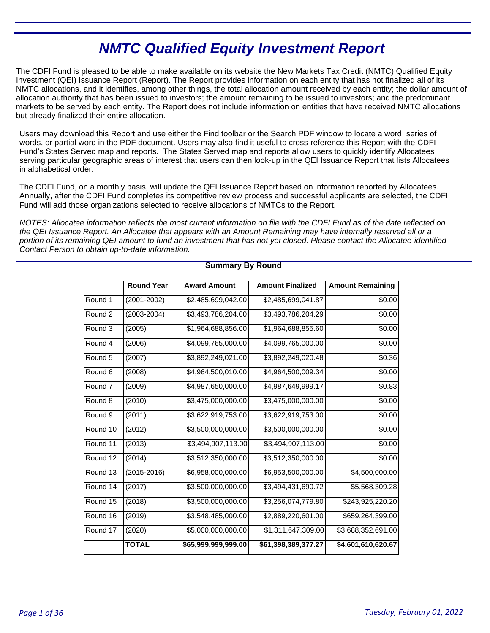# **NMTC Qualified Equity Investment Report**

The CDFI Fund is pleased to be able to make available on its website the New Markets Tax Credit (NMTC) Qualified Equity Investment (QEI) Issuance Report (Report). The Report provides information on each entity that has not finalized all of its NMTC allocations, and it identifies, among other things, the total allocation amount received by each entity; the dollar amount of allocation authority that has been issued to investors; the amount remaining to be issued to investors; and the predominant markets to be served by each entity. The Report does not include information on entities that have received NMTC allocations but already finalized their entire allocation.

Users may download this Report and use either the Find toolbar or the Search PDF window to locate a word, series of words, or partial word in the PDF document. Users may also find it useful to cross-reference this Report with the CDFI Fund's States Served map and reports. The States Served map and reports allow users to quickly identify Allocatees serving particular geographic areas of interest that users can then look-up in the QEI Issuance Report that lists Allocatees in alphabetical order.

The CDFI Fund, on a monthly basis, will update the QEI Issuance Report based on information reported by Allocatees. Annually, after the CDFI Fund completes its competitive review process and successful applicants are selected, the CDFI Fund will add those organizations selected to receive allocations of NMTCs to the Report.

NOTES: Allocatee information reflects the most current information on file with the CDFI Fund as of the date reflected on the QEI Issuance Report. An Allocatee that appears with an Amount Remaining may have internally reserved all or a portion of its remaining QEI amount to fund an investment that has not yet closed. Please contact the Allocatee-identified Contact Person to obtain up-to-date information.

|                    | <b>Round Year</b> | <b>Award Amount</b> | <b>Amount Finalized</b> | <b>Amount Remaining</b>    |
|--------------------|-------------------|---------------------|-------------------------|----------------------------|
| Round 1            | $(2001 - 2002)$   | \$2,485,699,042.00  | \$2,485,699,041.87      | \$0.00                     |
| Round 2            | $(2003 - 2004)$   | \$3,493,786,204.00  | \$3,493,786,204.29      | \$0.00                     |
| Round <sub>3</sub> | (2005)            | \$1,964,688,856.00  | \$1,964,688,855.60      | \$0.00                     |
| Round 4            | (2006)            | \$4,099,765,000.00  | \$4,099,765,000.00      | \$0.00                     |
| Round 5            | (2007)            | \$3,892,249,021.00  | \$3,892,249,020.48      | \$0.36                     |
| Round 6            | (2008)            | \$4,964,500,010.00  | \$4,964,500,009.34      | \$0.00                     |
| Round <sub>7</sub> | (2009)            | \$4,987,650,000.00  | \$4,987,649,999.17      | \$0.83                     |
| Round 8            | (2010)            | \$3,475,000,000.00  | \$3,475,000,000.00      | \$0.00                     |
| Round 9            | (2011)            | \$3,622,919,753.00  | \$3,622,919,753.00      | \$0.00                     |
| Round 10           | (2012)            | \$3,500,000,000.00  | \$3,500,000,000.00      | \$0.00                     |
| Round 11           | (2013)            | \$3,494,907,113.00  | \$3,494,907,113.00      | \$0.00                     |
| Round 12           | (2014)            | \$3,512,350,000.00  | \$3,512,350,000.00      | \$0.00                     |
| Round 13           | $(2015 - 2016)$   | \$6,958,000,000.00  | \$6,953,500,000.00      | $\overline{$4,500,000.00}$ |
| Round 14           | (2017)            | \$3,500,000,000.00  | \$3,494,431,690.72      | \$5,568,309.28             |
| Round 15           | (2018)            | \$3,500,000,000.00  | \$3,256,074,779.80      | \$243,925,220.20           |
| Round 16           | (2019)            | \$3,548,485,000.00  | \$2,889,220,601.00      | \$659,264,399.00           |
| Round 17           | (2020)            | \$5,000,000,000.00  | \$1,311,647,309.00      | \$3,688,352,691.00         |
|                    | <b>TOTAL</b>      | \$65,999,999,999.00 | \$61,398,389,377.27     | \$4,601,610,620.67         |

# **Summary By Round**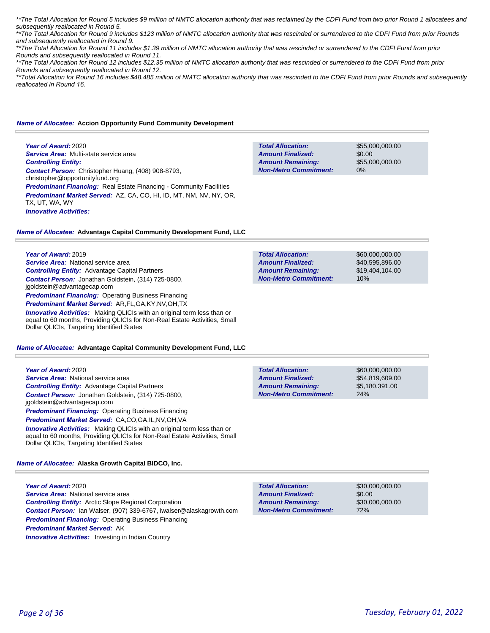\*\*The Total Allocation for Round 5 includes \$9 million of NMTC allocation authority that was reclaimed by the CDFI Fund from two prior Round 1 allocatees and subsequently reallocated in Round 5.

\*\*The Total Allocation for Round 9 includes \$123 million of NMTC allocation authority that was rescinded or surrendered to the CDFI Fund from prior Rounds and subsequently reallocated in Round 9.

\*\*The Total Allocation for Round 11 includes \$1.39 million of NMTC allocation authority that was rescinded or surrendered to the CDFI Fund from prior Rounds and subsequently reallocated in Round 11.

\*\*The Total Allocation for Round 12 includes \$12.35 million of NMTC allocation authority that was rescinded or surrendered to the CDFI Fund from prior Rounds and subsequently reallocated in Round 12.

\*\*Total Allocation for Round 16 includes \$48.485 million of NMTC allocation authority that was rescinded to the CDFI Fund from prior Rounds and subsequently *reallocated in Round 16.* 

#### *Name of Allocatee:* **Accion Opportunity Fund Community Development**

**Year of Award:** 2020 *Service Area:* Multi-state service area *Controlling Entity: Contact Person:* Christopher Huang, (408) 908-8793, christopher@opportunityfund.org **Predominant Financing:** Real Estate Financing - Community Facilities *Predominant Market Served:* AZ, CA, CO, HI, ID, MT, NM, NV, NY, OR, TX, UT, WA, WY *Innovative Activities:* 

**Total Allocation: Non-Metro Commitment: Amount Remaining: Amount Finalized:**

\$55,000,000.00 \$0.00 \$55,000,000.00 0%

### *Name of Allocatee:* **Advantage Capital Community Development Fund, LLC**

**Year of Award:** 2019

*Service Area:* National service area *Controlling Entity:* Advantage Capital Partners *Contact Person:* Jonathan Goldstein, (314) 725-0800, jgoldstein@advantagecap.com **Predominant Financing: Operating Business Financing** *Predominant Market Served:* AR,FL,GA,KY,NV,OH,TX *Innovative Activities:* Making QLICIs with an original term less than or equal to 60 months, Providing QLICIs for Non-Real Estate Activities, Small Dollar QLICIs, Targeting Identified States

#### *Name of Allocatee:* **Advantage Capital Community Development Fund, LLC**

**Year of Award:** 2020 **Service Area: National service area** *Controlling Entity:* Advantage Capital Partners *Contact Person:* Jonathan Goldstein, (314) 725-0800, jgoldstein@advantagecap.com **Predominant Financing: Operating Business Financing** *Predominant Market Served:* CA,CO,GA,IL,NV,OH,VA

**Innovative Activities:** Making QLICIs with an original term less than or equal to 60 months, Providing QLICIs for Non-Real Estate Activities, Small Dollar QLICIs, Targeting Identified States

*Name of Allocatee:* **Alaska Growth Capital BIDCO, Inc.**

**Year of Award:** 2020 *Service Area:* National service area *Controlling Entity:* Arctic Slope Regional Corporation *Contact Person:* Ian Walser, (907) 339-6767, iwalser@alaskagrowth.com *Predominant Financing:* Operating Business Financing *Predominant Market Served:* AK **Innovative Activities:** Investing in Indian Country

| \$60,000,000,00 |
|-----------------|
| \$40,595,896,00 |
| \$19,404,104.00 |
| 10%             |
|                 |

\$60,000,000.00 \$54,819,609.00 \$5,180,391.00 24% **Total Allocation: Non-Metro Commitment: Amount Remaining: Amount Finalized:**

**Total Allocation: Non-Metro Commitment: Amount Remaining: Amount Finalized:**

\$30,000,000.00 \$0.00 \$30,000,000.00 72%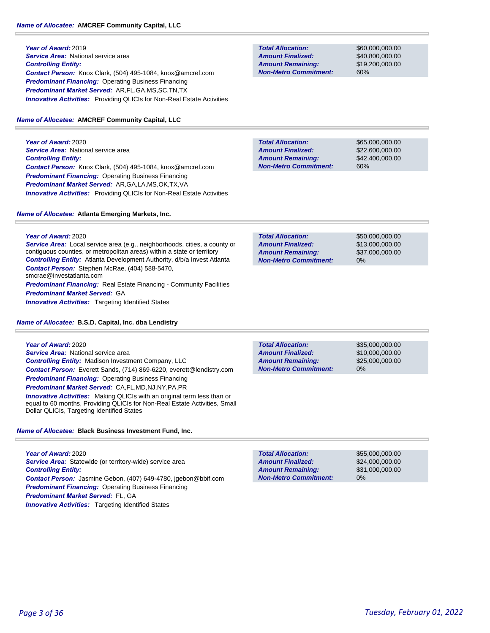# *Name of Allocatee:* **AMCREF Community Capital, LLC**

**Year of Award:** 2019 **Service Area:** National service area *Controlling Entity: Contact Person:* Knox Clark, (504) 495-1084, knox@amcref.com **Predominant Financing: Operating Business Financing** *Predominant Market Served:* AR,FL,GA,MS,SC,TN,TX **Innovative Activities:** Providing QLICIs for Non-Real Estate Activities

# *Name of Allocatee:* **AMCREF Community Capital, LLC**

**Year of Award:** 2020 **Service Area: National service area** *Controlling Entity: Contact Person:* Knox Clark, (504) 495-1084, knox@amcref.com *Predominant Financing:* Operating Business Financing *Predominant Market Served:* AR,GA,LA,MS,OK,TX,VA *Innovative Activities:* Providing QLICIs for Non-Real Estate Activities

# *Name of Allocatee:* **Atlanta Emerging Markets, Inc.**

**Year of Award:** 2020

*Service Area:* Local service area (e.g., neighborhoods, cities, a county or contiguous counties, or metropolitan areas) within a state or territory *Controlling Entity:* Atlanta Development Authority, d/b/a Invest Atlanta *Contact Person:* Stephen McRae, (404) 588-5470, smcrae@investatlanta.com **Predominant Financing:** Real Estate Financing - Community Facilities *Predominant Market Served:* GA **Innovative Activities:** Targeting Identified States

*Name of Allocatee:* **B.S.D. Capital, Inc. dba Lendistry**

| Year of Award: 2020                                                                                                                                          |
|--------------------------------------------------------------------------------------------------------------------------------------------------------------|
| Service Area: National service area                                                                                                                          |
| <b>Controlling Entity:</b> Madison Investment Company, LLC                                                                                                   |
| <b>Contact Person:</b> Everett Sands, (714) 869-6220, everett@lendistry.com                                                                                  |
| <b>Predominant Financing:</b> Operating Business Financing                                                                                                   |
| <b>Predominant Market Served: CA,FL,MD,NJ,NY,PA,PR</b>                                                                                                       |
| <b>Innovative Activities:</b> Making QLICIs with an original term less than or<br>equal to 60 months, Providing QLICIs for Non-Real Estate Activities, Small |

*Name of Allocatee:* **Black Business Investment Fund, Inc.**

Dollar QLICIs, Targeting Identified States

**Year of Award:** 2020 Service Area: Statewide (or territory-wide) service area *Controlling Entity: Contact Person:* Jasmine Gebon, (407) 649-4780, jgebon@bbif.com *Predominant Financing:* Operating Business Financing *Predominant Market Served:* FL, GA **Innovative Activities:** Targeting Identified States

**Total Allocation: Non-Metro Commitment: Amount Remaining: Amount Finalized:**

\$60,000,000.00 \$40,800,000.00 \$19,200,000.00 60%

**Total Allocation: Non-Metro Commitment: Amount Remaining: Amount Finalized:**

\$65,000,000.00 \$22,600,000.00 \$42,400,000.00 60%

| <b>Total Allocation:</b>     | \$50,000,000,00 |
|------------------------------|-----------------|
| <b>Amount Finalized:</b>     | \$13,000,000.00 |
| <b>Amount Remaining:</b>     | \$37,000,000.00 |
| <b>Non-Metro Commitment:</b> | $0\%$           |

0% **Total Allocation: Non-Metro Commitment: Amount Remaining: Amount Finalized:**

\$35,000,000.00 \$10,000,000.00 \$25,000,000.00

\$55,000,000.00 \$24,000,000.00 \$31,000,000.00 0% **Total Allocation: Non-Metro Commitment: Amount Remaining: Amount Finalized:**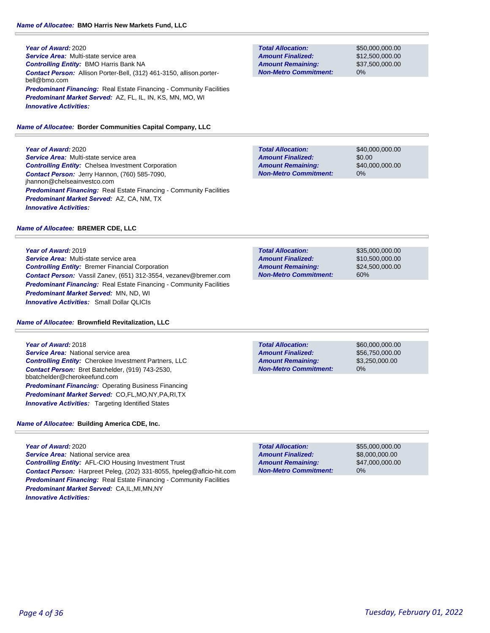*Service Area:* Multi-state service area *Controlling Entity:* BMO Harris Bank NA *Contact Person:* Allison Porter-Bell, (312) 461-3150, allison.porterbell@bmo.com **Predominant Financing:** Real Estate Financing - Community Facilities *Predominant Market Served:* AZ, FL, IL, IN, KS, MN, MO, WI *Innovative Activities:* 

*Name of Allocatee:* **Border Communities Capital Company, LLC**

**Year of Award:** 2020 *Service Area:* Multi-state service area

*Controlling Entity:* Chelsea Investment Corporation *Contact Person:* Jerry Hannon, (760) 585-7090, jhannon@chelseainvestco.com **Predominant Financing:** Real Estate Financing - Community Facilities *Predominant Market Served:* AZ, CA, NM, TX *Innovative Activities:* 

# *Name of Allocatee:* **BREMER CDE, LLC**

**Year of Award:** 2019 *Service Area:* Multi-state service area *Controlling Entity:* Bremer Financial Corporation *Contact Person:* Vassil Zanev, (651) 312-3554, vezanev@bremer.com **Predominant Financing:** Real Estate Financing - Community Facilities *Predominant Market Served:* MN, ND, WI *Innovative Activities:* Small Dollar QLICIs

# *Name of Allocatee:* **Brownfield Revitalization, LLC**

**Year of Award:** 2018 *Service Area:* National service area *Controlling Entity:* Cherokee Investment Partners, LLC *Contact Person:* Bret Batchelder, (919) 743-2530, bbatchelder@cherokeefund.com **Predominant Financing: Operating Business Financing** *Predominant Market Served:* CO,FL,MO,NY,PA,RI,TX **Innovative Activities:** Targeting Identified States

*Name of Allocatee:* **Building America CDE, Inc.**

**Year of Award:** 2020 *Service Area:* National service area *Controlling Entity:* AFL-CIO Housing Investment Trust *Contact Person:* Harpreet Peleg, (202) 331-8055, hpeleg@aflcio-hit.com **Predominant Financing:** Real Estate Financing - Community Facilities *Predominant Market Served:* CA,IL,MI,MN,NY *Innovative Activities:* 

**Total Allocation: Non-Metro Commitment: Amount Remaining: Amount Finalized:**

\$50,000,000.00 \$12,500,000.00 \$37,500,000.00 0%

\$40,000,000.00 \$0.00 \$40,000,000.00 0% **Total Allocation: Non-Metro Commitment: Amount Remaining: Amount Finalized:**

**Total Allocation: Non-Metro Commitment: Amount Remaining: Amount Finalized:**

\$35,000,000.00 \$10,500,000.00 \$24,500,000.00 60%

**Total Allocation: Non-Metro Commitment: Amount Remaining: Amount Finalized:**

\$60,000,000.00 \$56,750,000.00 \$3,250,000.00 0%

0% **Total Allocation: Non-Metro Commitment: Amount Remaining: Amount Finalized:**

\$55,000,000.00 \$8,000,000.00 \$47,000,000.00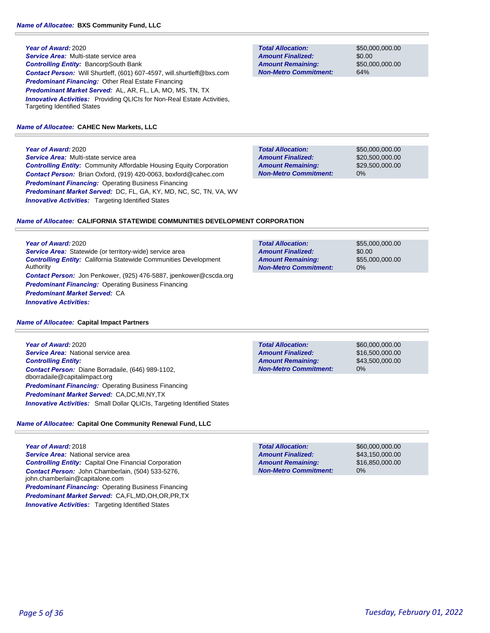*Service Area:* Multi-state service area *Controlling Entity:* BancorpSouth Bank *Contact Person:* Will Shurtleff, (601) 607-4597, will.shurtleff@bxs.com *Predominant Financing:* Other Real Estate Financing *Predominant Market Served:* AL, AR, FL, LA, MO, MS, TN, TX **Innovative Activities:** Providing QLICIs for Non-Real Estate Activities, Targeting Identified States

#### *Name of Allocatee:* **CAHEC New Markets, LLC**

#### **Year of Award:** 2020

*Service Area:* Multi-state service area *Controlling Entity:* Community Affordable Housing Equity Corporation *Contact Person:* Brian Oxford, (919) 420-0063, boxford@cahec.com *Predominant Financing:* Operating Business Financing *Predominant Market Served:* DC, FL, GA, KY, MD, NC, SC, TN, VA, WV **Innovative Activities:** Targeting Identified States

**Total Allocation: Non-Metro Commitment: Amount Remaining: Amount Finalized:**

\$50,000,000.00 \$0.00 \$50,000,000.00 64%

\$50,000,000.00 \$20,500,000.00 \$29,500,000.00 0% **Total Allocation: Non-Metro Commitment: Amount Remaining: Amount Finalized:**

#### *Name of Allocatee:* **CALIFORNIA STATEWIDE COMMUNITIES DEVELOPMENT CORPORATION**

**Year of Award:** 2020 *Service Area:* Statewide (or territory-wide) service area *Controlling Entity:* California Statewide Communities Development Authority *Contact Person:* Jon Penkower, (925) 476-5887, jpenkower@cscda.org *Predominant Financing:* Operating Business Financing *Predominant Market Served:* CA *Innovative Activities:* 

#### *Name of Allocatee:* **Capital Impact Partners**

**Year of Award:** 2020 *Service Area:* National service area *Controlling Entity: Contact Person:* Diane Borradaile, (646) 989-1102, dborradaile@capitalimpact.org **Predominant Financing: Operating Business Financing** *Predominant Market Served:* CA,DC,MI,NY,TX *Innovative Activities:* Small Dollar QLICIs, Targeting Identified States

# *Name of Allocatee:* **Capital One Community Renewal Fund, LLC**

**Year of Award:** 2018 *Service Area:* National service area *Controlling Entity:* Capital One Financial Corporation *Contact Person:* John Chamberlain, (504) 533-5276, john.chamberlain@capitalone.com *Predominant Financing:* Operating Business Financing *Predominant Market Served:* CA,FL,MD,OH,OR,PR,TX **Innovative Activities:** Targeting Identified States

| Tulai Allucation.            | <b>JUU,UUU,UUU.UU</b> |
|------------------------------|-----------------------|
| <b>Amount Finalized:</b>     | \$0.00                |
| <b>Amount Remaining:</b>     | \$55,000,000,00       |
| <b>Non-Metro Commitment:</b> | $0\%$                 |
|                              |                       |

**Total Allocation: Non-Metro Commitment: Amount Remaining: Amount Finalized:**

**Total Allocation:**

\$60,000,000.00 \$16,500,000.00 \$43,500,000.00 0%

**SEE 000,000.00** 

\$60,000,000.00 \$43,150,000.00 \$16,850,000.00 0% **Total Allocation: Non-Metro Commitment: Amount Remaining: Amount Finalized:**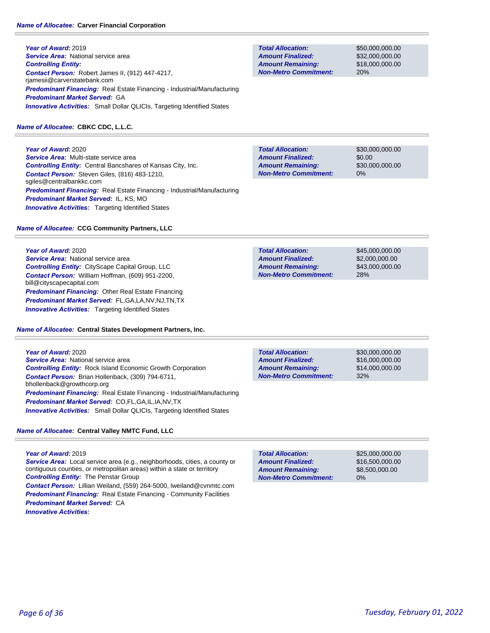# *Name of Allocatee:* **Carver Financial Corporation**

**Year of Award:** 2019 **Service Area:** National service area *Controlling Entity: Contact Person:* Robert James II, (912) 447-4217, rjamesii@carverstatebank.com *Predominant Financing:* Real Estate Financing - Industrial/Manufacturing *Predominant Market Served:* GA **Innovative Activities:** Small Dollar QLICIs, Targeting Identified States

# *Name of Allocatee:* **CBKC CDC, L.L.C.**

**Year of Award:** 2020 *Service Area:* Multi-state service area *Controlling Entity:* Central Bancshares of Kansas City, Inc. *Contact Person:* Steven Giles, (816) 483-1210, sgiles@centralbankkc.com *Predominant Financing:* Real Estate Financing - Industrial/Manufacturing *Predominant Market Served:* IL, KS, MO **Innovative Activities:** Targeting Identified States

# *Name of Allocatee:* **CCG Community Partners, LLC**

**Year of Award:** 2020

**Service Area: National service area** *Controlling Entity:* CityScape Capital Group, LLC *Contact Person:* William Hoffman, (609) 951-2200, bill@cityscapecapital.com *Predominant Financing:* Other Real Estate Financing *Predominant Market Served:* FL,GA,LA,NV,NJ,TN,TX **Innovative Activities:** Targeting Identified States

*Name of Allocatee:* **Central States Development Partners, Inc.**

**Total Allocation: Non-Metro Commitment: Amount Remaining: Amount Finalized:**

\$50,000,000.00 \$32,000,000.00 \$18,000,000.00 20%

\$30,000,000.00 \$0.00 \$30,000,000.00 0% **Total Allocation: Non-Metro Commitment: Amount Remaining: Amount Finalized:**

**Total Allocation: Non-Metro Commitment: Amount Remaining: Amount Finalized:**

**Total Allocation:**

**Non-Metro Commitment: Amount Remaining: Amount Finalized:**

\$45,000,000.00 \$2,000,000.00 \$43,000,000.00 28%

\$30,000,000.00 \$16,000,000.00 \$14,000,000.00

32%

**Year of Award:** 2020 **Service Area: National service area** *Controlling Entity:* Rock Island Economic Growth Corporation *Contact Person:* Brian Hollenback, (309) 794-6711, bhollenback@growthcorp.org *Predominant Financing:* Real Estate Financing - Industrial/Manufacturing *Predominant Market Served:* CO,FL,GA,IL,IA,NV,TX **Innovative Activities:** Small Dollar QLICIs, Targeting Identified States

# *Name of Allocatee:* **Central Valley NMTC Fund, LLC**

# **Year of Award:** 2019

*Service Area:* Local service area (e.g., neighborhoods, cities, a county or contiguous counties, or metropolitan areas) within a state or territory *Controlling Entity:* The Penstar Group *Contact Person:* Lillian Weiland, (559) 264-5000, lweiland@cvnmtc.com **Predominant Financing:** Real Estate Financing - Community Facilities *Predominant Market Served:* CA *Innovative Activities:* 

| <b>Total Allocation:</b> | \$25,000,000.00 |
|--------------------------|-----------------|

\$16,500,000.00 \$8,500,000.00 0% **Non-Metro Commitment: Amount Remaining: Amount Finalized:**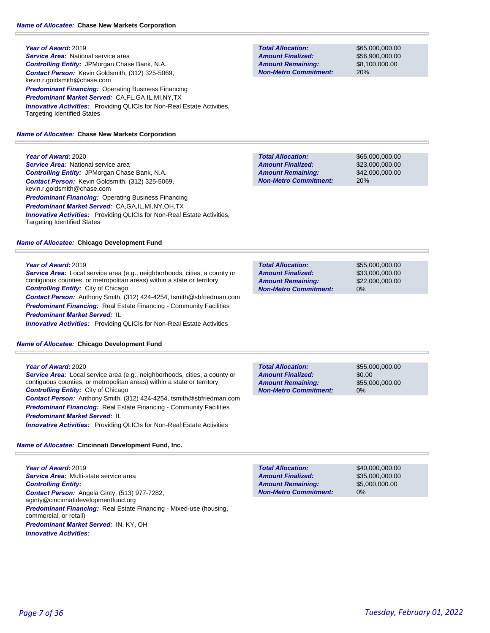**Year of Award:** 2019 **Service Area:** National service area *Controlling Entity:* JPMorgan Chase Bank, N.A. *Contact Person:* Kevin Goldsmith, (312) 325-5069, kevin.r.goldsmith@chase.com *Predominant Financing:* Operating Business Financing *Predominant Market Served:* CA,FL,GA,IL,MI,NY,TX *Innovative Activities:* Providing QLICIs for Non-Real Estate Activities, Targeting Identified States

#### *Name of Allocatee:* **Chase New Markets Corporation**

#### **Year of Award:** 2020

**Service Area:** National service area *Controlling Entity:* JPMorgan Chase Bank, N.A. *Contact Person:* Kevin Goldsmith, (312) 325-5069, kevin.r.goldsmith@chase.com *Predominant Financing:* Operating Business Financing *Predominant Market Served:* CA,GA,IL,MI,NY,OH,TX *Innovative Activities:* Providing QLICIs for Non-Real Estate Activities, Targeting Identified States

#### *Name of Allocatee:* **Chicago Development Fund**

#### **Year of Award:** 2019

*Service Area:* Local service area (e.g., neighborhoods, cities, a county or contiguous counties, or metropolitan areas) within a state or territory *Controlling Entity:* City of Chicago *Contact Person:* Anthony Smith, (312) 424-4254, tsmith@sbfriedman.com **Predominant Financing:** Real Estate Financing - Community Facilities

*Predominant Market Served:* IL

*Innovative Activities:* Providing QLICIs for Non-Real Estate Activities

#### *Name of Allocatee:* **Chicago Development Fund**

#### **Year of Award:** 2020

*Service Area:* Local service area (e.g., neighborhoods, cities, a county or contiguous counties, or metropolitan areas) within a state or territory *Controlling Entity:* City of Chicago *Contact Person:* Anthony Smith, (312) 424-4254, tsmith@sbfriedman.com **Predominant Financing:** Real Estate Financing - Community Facilities *Predominant Market Served:* IL *Innovative Activities:* Providing QLICIs for Non-Real Estate Activities

# *Name of Allocatee:* **Cincinnati Development Fund, Inc.**

**Year of Award:** 2019 *Service Area:* Multi-state service area *Controlling Entity: Contact Person:* Angela Ginty, (513) 977-7282, aginty@cincinnatidevelopmentfund.org *Predominant Financing:* Real Estate Financing - Mixed-use (housing, commercial, or retail) *Predominant Market Served:* IN, KY, OH *Innovative Activities:* 

**Total Allocation: Non-Metro Commitment: Amount Remaining: Amount Finalized:**

\$65,000,000.00 \$56,900,000.00 \$8,100,000.00 20%

**Total Allocation: Non-Metro Commitment: Amount Remaining: Amount Finalized:**

\$65,000,000.00 \$23,000,000.00 \$42,000,000.00 20%

\$55,000,000.00 \$33,000,000.00 \$22,000,000.00 0% **Total Allocation: Non-Metro Commitment: Amount Remaining: Amount Finalized:**

**Total Allocation: Non-Metro Commitment: Amount Remaining: Amount Finalized:**

\$55,000,000.00 \$0.00 \$55,000,000.00 0%

0% **Total Allocation: Non-Metro Commitment: Amount Remaining: Amount Finalized:**

\$40,000,000.00 \$35,000,000.00 \$5,000,000.00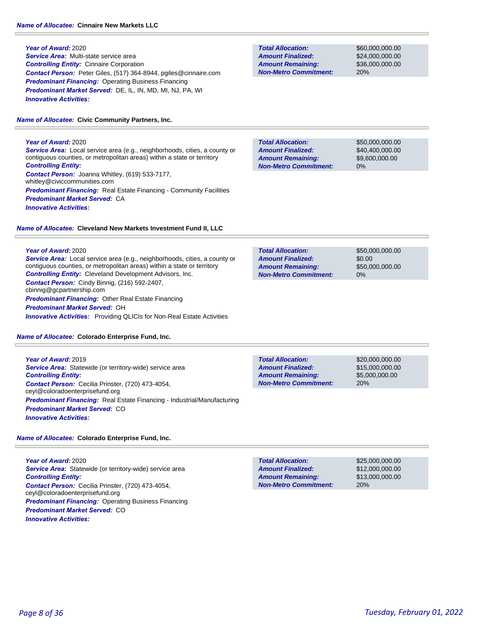# *Name of Allocatee:* **Cinnaire New Markets LLC**

# **Year of Award:** 2020 *Service Area:* Multi-state service area *Controlling Entity:* Cinnaire Corporation *Contact Person:* Peter Giles, (517) 364-8944, pgiles@cinnaire.com **Predominant Financing: Operating Business Financing** *Predominant Market Served:* DE, IL, IN, MD, MI, NJ, PA, WI *Innovative Activities:*

*Name of Allocatee:* **Civic Community Partners, Inc.**

### **Year of Award:** 2020 *Service Area:* Local service area (e.g., neighborhoods, cities, a county or contiguous counties, or metropolitan areas) within a state or territory *Controlling Entity: Contact Person:* Joanna Whitley, (619) 533-7177, whitley@civiccommunities.com **Predominant Financing:** Real Estate Financing - Community Facilities *Predominant Market Served:* CA *Innovative Activities:*

# *Name of Allocatee:* **Cleveland New Markets Investment Fund II, LLC**

# **Year of Award:** 2020

*Service Area:* Local service area (e.g., neighborhoods, cities, a county or contiguous counties, or metropolitan areas) within a state or territory *Controlling Entity:* Cleveland Development Advisors, Inc. *Contact Person:* Cindy Binnig, (216) 592-2407, cbinnig@gcpartnership.com *Predominant Financing:* Other Real Estate Financing *Predominant Market Served:* OH *Innovative Activities:* Providing QLICIs for Non-Real Estate Activities

*Name of Allocatee:* **Colorado Enterprise Fund, Inc.**

**Year of Award:** 2019 **Service Area:** Statewide (or territory-wide) service area *Controlling Entity: Contact Person:* Cecilia Prinster, (720) 473-4054, ceyl@coloradoenterprisefund.org *Predominant Financing:* Real Estate Financing - Industrial/Manufacturing *Predominant Market Served:* CO *Innovative Activities:* 

# *Name of Allocatee:* **Colorado Enterprise Fund, Inc.**

**Year of Award:** 2020 **Service Area:** Statewide (or territory-wide) service area *Controlling Entity: Contact Person:* Cecilia Prinster, (720) 473-4054, ceyl@coloradoenterprisefund.org *Predominant Financing:* Operating Business Financing *Predominant Market Served:* CO *Innovative Activities:* 

**Total Allocation: Non-Metro Commitment: Amount Remaining: Amount Finalized:**

\$60,000,000.00 \$24,000,000.00 \$36,000,000.00 20%

**Total Allocation: Non-Metro Commitment: Amount Remaining: Amount Finalized:**

\$50,000,000.00 \$40,400,000.00 \$9,600,000.00 0%

**Total Allocation: Non-Metro Commitment: Amount Remaining: Amount Finalized:**

\$50,000,000.00 \$0.00 \$50,000,000.00 0%

**Total Allocation: Non-Metro Commitment: Amount Remaining: Amount Finalized:**

\$20,000,000.00 \$15,000,000.00 \$5,000,000.00 20%

20% **Total Allocation: Non-Metro Commitment: Amount Remaining: Amount Finalized:**

\$25,000,000.00 \$12,000,000.00 \$13,000,000.00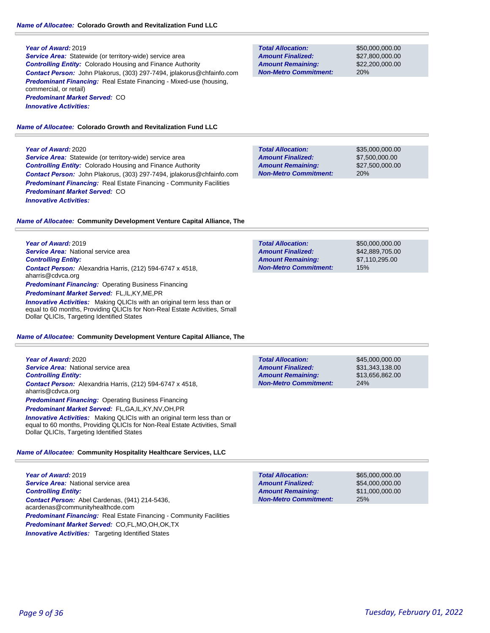**Service Area:** Statewide (or territory-wide) service area *Controlling Entity:* Colorado Housing and Finance Authority *Contact Person:* John Plakorus, (303) 297-7494, jplakorus@chfainfo.com **Predominant Financing:** Real Estate Financing - Mixed-use (housing, commercial, or retail) *Predominant Market Served:* CO *Innovative Activities:* 

#### *Name of Allocatee:* **Colorado Growth and Revitalization Fund LLC**

#### **Year of Award:** 2020

**Service Area:** Statewide (or territory-wide) service area *Controlling Entity:* Colorado Housing and Finance Authority *Contact Person:* John Plakorus, (303) 297-7494, jplakorus@chfainfo.com *Predominant Financing:* Real Estate Financing - Community Facilities *Predominant Market Served:* CO *Innovative Activities:* 

\$35,000,000.00 \$7,500,000.00 \$27,500,000.00 20% **Total Allocation: Non-Metro Commitment: Amount Remaining: Amount Finalized:**

**Total Allocation:**

**Total Allocation:**

**Non-Metro Commitment: Amount Remaining: Amount Finalized:**

**Non-Metro Commitment: Amount Remaining: Amount Finalized:**

\$50,000,000.00 \$27,800,000.00 \$22,200,000.00

\$50,000,000.00 \$42,889,705.00 \$7,110,295.00

15%

20%

*Name of Allocatee:* **Community Development Venture Capital Alliance, The**

**Year of Award:** 2019 *Service Area:* National service area *Controlling Entity: Contact Person:* Alexandria Harris, (212) 594-6747 x 4518, aharris@cdvca.org **Predominant Financing: Operating Business Financing** *Predominant Market Served:* FL,IL,KY,ME,PR **Innovative Activities:** Making QLICIs with an original term less than or

equal to 60 months, Providing QLICIs for Non-Real Estate Activities, Small Dollar QLICIs, Targeting Identified States

#### *Name of Allocatee:* **Community Development Venture Capital Alliance, The**

**Year of Award:** 2020 *Service Area:* National service area *Controlling Entity: Contact Person:* Alexandria Harris, (212) 594-6747 x 4518, aharris@cdvca.org **Predominant Financing: Operating Business Financing** *Predominant Market Served:* FL,GA,IL,KY,NV,OH,PR *Innovative Activities:* Making QLICIs with an original term less than or

equal to 60 months, Providing QLICIs for Non-Real Estate Activities, Small Dollar QLICIs, Targeting Identified States

### *Name of Allocatee:* **Community Hospitality Healthcare Services, LLC**

**Year of Award:** 2019 **Service Area: National service area** *Controlling Entity: Contact Person:* Abel Cardenas, (941) 214-5436, acardenas@communityhealthcde.com **Predominant Financing:** Real Estate Financing - Community Facilities *Predominant Market Served:* CO,FL,MO,OH,OK,TX **Innovative Activities:** Targeting Identified States

| <b>Total Allocation:</b> | \$45,000,000,00 |
|--------------------------|-----------------|
| <b>Amount Finalized:</b> | \$31,343,138,00 |
| Amarini Damainings       | 0.4200000000    |

\$13,656,862.00 24% **Non-Metro Commitment: Amount Remaining:**

\$65,000,000.00 \$54,000,000.00 \$11,000,000.00 25% **Total Allocation: Non-Metro Commitment: Amount Remaining: Amount Finalized:**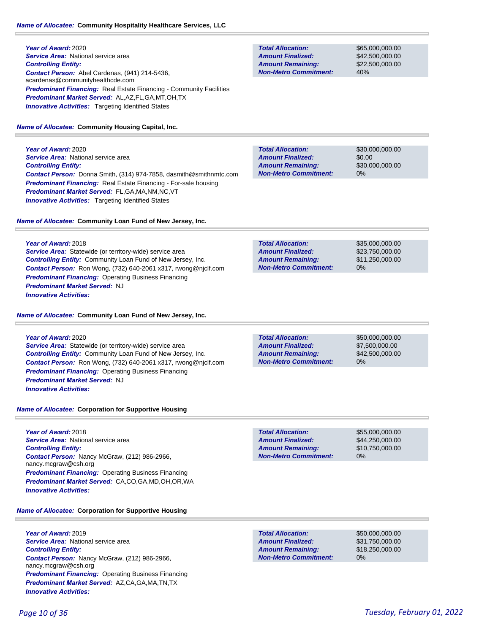**Year of Award:** 2020 *Service Area:* National service area *Controlling Entity: Contact Person:* Abel Cardenas, (941) 214-5436, acardenas@communityhealthcde.com **Predominant Financing:** Real Estate Financing - Community Facilities *Predominant Market Served:* AL,AZ,FL,GA,MT,OH,TX **Innovative Activities:** Targeting Identified States

# *Name of Allocatee:* **Community Housing Capital, Inc.**

**Year of Award:** 2020 *Service Area:* National service area *Controlling Entity: Contact Person:* Donna Smith, (314) 974-7858, dasmith@smithnmtc.com *Predominant Financing:* Real Estate Financing - For-sale housing *Predominant Market Served:* FL,GA,MA,NM,NC,VT **Innovative Activities:** Targeting Identified States

*Name of Allocatee:* **Community Loan Fund of New Jersey, Inc.**

# **Year of Award:** 2018

*Service Area:* Statewide (or territory-wide) service area *Controlling Entity:* Community Loan Fund of New Jersey, Inc. *Contact Person:* Ron Wong, (732) 640-2061 x317, rwong@njclf.com *Predominant Financing:* Operating Business Financing *Predominant Market Served:* NJ *Innovative Activities:* 

*Name of Allocatee:* **Community Loan Fund of New Jersey, Inc.**

# **Year of Award:** 2020

**Service Area:** Statewide (or territory-wide) service area *Controlling Entity:* Community Loan Fund of New Jersey, Inc. *Contact Person:* Ron Wong, (732) 640-2061 x317, rwong@njclf.com *Predominant Financing: Operating Business Financing Predominant Market Served:* NJ *Innovative Activities:* 

# *Name of Allocatee:* **Corporation for Supportive Housing**

**Year of Award:** 2018 *Service Area:* National service area *Controlling Entity: Contact Person:* Nancy McGraw, (212) 986-2966, nancy.mcgraw@csh.org *Predominant Financing: Operating Business Financing Predominant Market Served:* CA,CO,GA,MD,OH,OR,WA *Innovative Activities:* 

\$55,000,000.00 \$44,250,000.00 \$10,750,000.00 0% **Total Allocation: Non-Metro Commitment: Amount Remaining: Amount Finalized:**

*Name of Allocatee:* **Corporation for Supportive Housing**

**Year of Award:** 2019 *Service Area:* National service area *Controlling Entity: Contact Person:* Nancy McGraw, (212) 986-2966, nancy.mcgraw@csh.org **Predominant Financing:** Operating Business Financing *Predominant Market Served:* AZ,CA,GA,MA,TN,TX *Innovative Activities:* 

**Total Allocation: Non-Metro Commitment: Amount Remaining: Amount Finalized:**

\$65,000,000.00 \$42,500,000.00 \$22,500,000.00 40%

\$30,000,000.00 \$0.00 \$30,000,000.00 0% **Total Allocation: Non-Metro Commitment: Amount Remaining: Amount Finalized:**

| <b>Total Allocation:</b>     | \$35,000,000.00 |
|------------------------------|-----------------|
| <b>Amount Finalized:</b>     | \$23.750.000.00 |
| <b>Amount Remaining:</b>     | \$11.250.000.00 |
| <b>Non-Metro Commitment:</b> | 0%              |

**Total Allocation: Non-Metro Commitment: Amount Remaining: Amount Finalized:**

\$50,000,000.00 \$7,500,000.00 \$42,500,000.00 0%

0% **Total Allocation: Non-Metro Commitment: Amount Remaining: Amount Finalized:**

\$50,000,000.00 \$31,750,000.00 \$18,250,000.00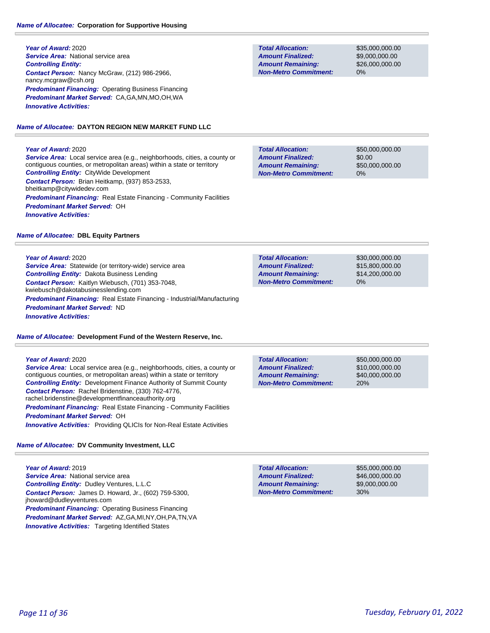# *Name of Allocatee:* **Corporation for Supportive Housing**

**Year of Award:** 2020 **Service Area:** National service area *Controlling Entity: Contact Person:* Nancy McGraw, (212) 986-2966, nancy.mcgraw@csh.org *Predominant Financing:* Operating Business Financing *Predominant Market Served:* CA,GA,MN,MO,OH,WA *Innovative Activities:* 

#### *Name of Allocatee:* **DAYTON REGION NEW MARKET FUND LLC**

#### **Year of Award:** 2020

*Service Area:* Local service area (e.g., neighborhoods, cities, a county or contiguous counties, or metropolitan areas) within a state or territory *Controlling Entity:* CityWide Development *Contact Person:* Brian Heitkamp, (937) 853-2533, bheitkamp@citywidedev.com **Predominant Financing:** Real Estate Financing - Community Facilities *Predominant Market Served:* OH *Innovative Activities:* 

#### *Name of Allocatee:* **DBL Equity Partners**

#### **Year of Award:** 2020

**Service Area:** Statewide (or territory-wide) service area *Controlling Entity:* Dakota Business Lending *Contact Person:* Kaitlyn Wiebusch, (701) 353-7048, kwiebusch@dakotabusinesslending.com *Predominant Financing:* Real Estate Financing - Industrial/Manufacturing *Predominant Market Served:* ND *Innovative Activities:* 

*Name of Allocatee:* **Development Fund of the Western Reserve, Inc.**

#### **Year of Award:** 2020

*Service Area:* Local service area (e.g., neighborhoods, cities, a county or contiguous counties, or metropolitan areas) within a state or territory *Controlling Entity:* Development Finance Authority of Summit County *Contact Person:* Rachel Bridenstine, (330) 762-4776, rachel.bridenstine@developmentfinanceauthority.org **Predominant Financing:** Real Estate Financing - Community Facilities *Predominant Market Served:* OH *Innovative Activities:* Providing QLICIs for Non-Real Estate Activities

# *Name of Allocatee:* **DV Community Investment, LLC**

**Year of Award:** 2019 **Service Area:** National service area *Controlling Entity:* Dudley Ventures, L.L.C *Contact Person:* James D. Howard, Jr., (602) 759-5300, jhoward@dudleyventures.com *Predominant Financing: Operating Business Financing Predominant Market Served:* AZ,GA,MI,NY,OH,PA,TN,VA **Innovative Activities:** Targeting Identified States

**Total Allocation: Non-Metro Commitment: Amount Remaining: Amount Finalized:**

\$35,000,000.00 \$9,000,000.00 \$26,000,000.00 0%

\$50,000,000.00 \$0.00 \$50,000,000.00 0% **Total Allocation: Non-Metro Commitment: Amount Remaining: Amount Finalized:**

\$30,000,000.00 \$15,800,000.00 \$14,200,000.00 0% **Total Allocation: Non-Metro Commitment: Amount Remaining: Amount Finalized:**

\$50,000,000.00 \$10,000,000.00 \$40,000,000.00 20% **Total Allocation: Non-Metro Commitment: Amount Remaining: Amount Finalized:**

\$9,000,000.00 **Total Allocation: Non-Metro Commitment: Amount Remaining: Amount Finalized:**

\$55,000,000.00 \$46,000,000.00 30%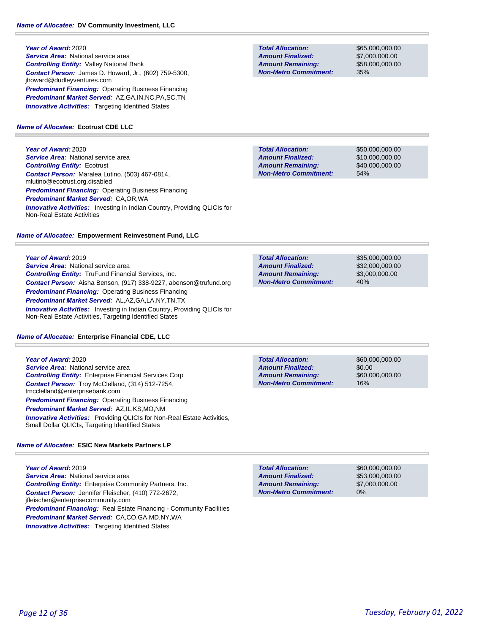**Year of Award:** 2020 **Service Area: National service area** *Controlling Entity:* Valley National Bank *Contact Person:* James D. Howard, Jr., (602) 759-5300, jhoward@dudleyventures.com *Predominant Financing:* Operating Business Financing *Predominant Market Served:* AZ,GA,IN,NC,PA,SC,TN **Innovative Activities:** Targeting Identified States

# *Name of Allocatee:* **Ecotrust CDE LLC**

**Year of Award:** 2020 **Service Area:** National service area *Controlling Entity:* Ecotrust *Contact Person:* Maralea Lutino, (503) 467-0814, mlutino@ecotrust.org.disabled **Predominant Financing: Operating Business Financing** *Predominant Market Served:* CA,OR,WA *Innovative Activities:* Investing in Indian Country, Providing QLICIs for Non-Real Estate Activities

# *Name of Allocatee:* **Empowerment Reinvestment Fund, LLC**

**Year of Award:** 2019 **Service Area:** National service area *Controlling Entity:* TruFund Financial Services, inc. *Contact Person:* Aisha Benson, (917) 338-9227, abenson@trufund.org *Predominant Financing: Operating Business Financing Predominant Market Served:* AL,AZ,GA,LA,NY,TN,TX *Innovative Activities:* Investing in Indian Country, Providing QLICIs for Non-Real Estate Activities, Targeting Identified States

# *Name of Allocatee:* **Enterprise Financial CDE, LLC**

**Year of Award:** 2020 **Service Area:** National service area *Controlling Entity:* Enterprise Financial Services Corp *Contact Person:* Troy McClelland, (314) 512-7254, tmcclelland@enterprisebank.com *Predominant Financing:* Operating Business Financing *Predominant Market Served:* AZ,IL,KS,MO,NM **Innovative Activities:** Providing QLICIs for Non-Real Estate Activities, Small Dollar QLICIs, Targeting Identified States

# *Name of Allocatee:* **ESIC New Markets Partners LP**

**Year of Award:** 2019 *Service Area:* National service area *Controlling Entity:* Enterprise Community Partners, Inc. *Contact Person:* Jennifer Fleischer, (410) 772-2672, jfleischer@enterprisecommunity.com **Predominant Financing:** Real Estate Financing - Community Facilities *Predominant Market Served:* CA,CO,GA,MD,NY,WA **Innovative Activities:** Targeting Identified States

**Total Allocation: Non-Metro Commitment: Amount Remaining: Amount Finalized:**

\$65,000,000.00 \$7,000,000.00 \$58,000,000.00 35%

\$50,000,000.00 \$10,000,000.00 \$40,000,000.00 54% **Total Allocation: Non-Metro Commitment: Amount Remaining: Amount Finalized:**

\$35,000,000.00 \$32,000,000.00 \$3,000,000.00 40% **Total Allocation: Non-Metro Commitment: Amount Remaining: Amount Finalized:**

**Total Allocation: Non-Metro Commitment: Amount Remaining: Amount Finalized:**

\$60,000,000.00 \$0.00 \$60,000,000.00 16%

0% **Total Allocation: Non-Metro Commitment: Amount Remaining: Amount Finalized:**

\$60,000,000.00 \$53,000,000.00 \$7,000,000.00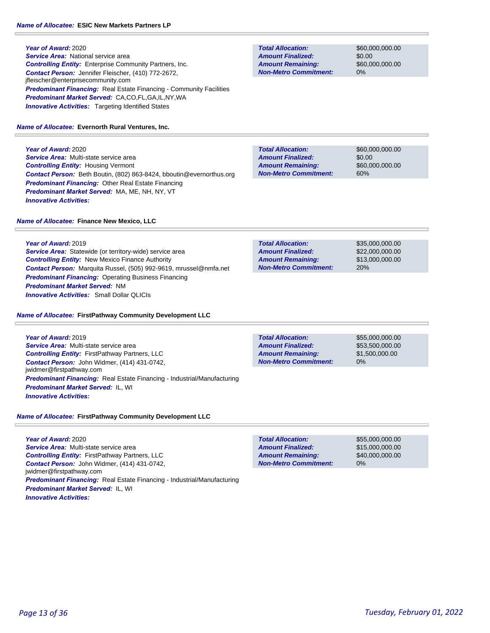**Year of Award:** 2020 **Service Area: National service area** *Controlling Entity:* Enterprise Community Partners, Inc. *Contact Person:* Jennifer Fleischer, (410) 772-2672, jfleischer@enterprisecommunity.com **Predominant Financing:** Real Estate Financing - Community Facilities *Predominant Market Served:* CA,CO,FL,GA,IL,NY,WA **Innovative Activities:** Targeting Identified States

#### *Name of Allocatee:* **Evernorth Rural Ventures, Inc.**

**Year of Award:** 2020 *Service Area:* Multi-state service area *Controlling Entity:* Housing Vermont *Contact Person:* Beth Boutin, (802) 863-8424, bboutin@evernorthus.org *Predominant Financing:* Other Real Estate Financing *Predominant Market Served:* MA, ME, NH, NY, VT *Innovative Activities:* 

#### *Name of Allocatee:* **Finance New Mexico, LLC**

**Year of Award:** 2019

*Service Area:* Statewide (or territory-wide) service area *Controlling Entity:* New Mexico Finance Authority *Contact Person:* Marquita Russel, (505) 992-9619, mrussel@nmfa.net **Predominant Financing: Operating Business Financing** *Predominant Market Served:* NM *Innovative Activities:* Small Dollar QLICIs

#### *Name of Allocatee:* **FirstPathway Community Development LLC**

**Year of Award:** 2019 *Service Area:* Multi-state service area *Controlling Entity:* FirstPathway Partners, LLC *Contact Person:* John Widmer, (414) 431-0742, jwidmer@firstpathway.com *Predominant Financing:* Real Estate Financing - Industrial/Manufacturing *Predominant Market Served:* IL, WI *Innovative Activities:* 

# *Name of Allocatee:* **FirstPathway Community Development LLC**

**Year of Award:** 2020 *Service Area:* Multi-state service area *Controlling Entity:* FirstPathway Partners, LLC *Contact Person:* John Widmer, (414) 431-0742, jwidmer@firstpathway.com *Predominant Financing:* Real Estate Financing - Industrial/Manufacturing *Predominant Market Served:* IL, WI *Innovative Activities:* 

**Total Allocation: Non-Metro Commitment: Amount Remaining: Amount Finalized:**

\$60,000,000.00 \$0.00 \$60,000,000.00 0%

\$60,000,000.00 \$0.00 \$60,000,000.00 60% **Total Allocation: Non-Metro Commitment: Amount Remaining: Amount Finalized:**

| <b>Total Allocation:</b>     | \$35,000,000,00 |
|------------------------------|-----------------|
| <b>Amount Finalized:</b>     | \$22,000,000,00 |
| <b>Amount Remaining:</b>     | \$13,000,000,00 |
| <b>Non-Metro Commitment:</b> | 20%             |

**Total Allocation: Non-Metro Commitment: Amount Remaining: Amount Finalized:**

\$55,000,000.00 \$53,500,000.00 \$1,500,000.00 0%

**Total Allocation: Non-Metro Commitment: Amount Remaining: Amount Finalized:**

\$55,000,000.00 \$15,000,000.00 \$40,000,000.00 0%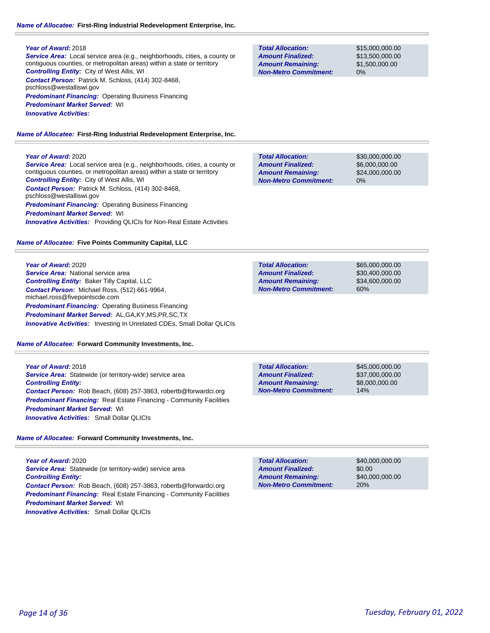*Service Area:* Local service area (e.g., neighborhoods, cities, a county or contiguous counties, or metropolitan areas) within a state or territory *Controlling Entity:* City of West Allis, WI *Contact Person:* Patrick M. Schloss, (414) 302-8468, pschloss@westalliswi.gov *Predominant Financing:* Operating Business Financing *Predominant Market Served:* WI *Innovative Activities:* 

*Name of Allocatee:* **First-Ring Industrial Redevelopment Enterprise, Inc.**

# **Year of Award:** 2020

*Service Area:* Local service area (e.g., neighborhoods, cities, a county or contiguous counties, or metropolitan areas) within a state or territory *Controlling Entity:* City of West Allis, WI *Contact Person:* Patrick M. Schloss, (414) 302-8468, pschloss@westalliswi.gov *Predominant Financing:* Operating Business Financing *Predominant Market Served:* WI **Innovative Activities:** Providing QLICIs for Non-Real Estate Activities

*Name of Allocatee:* **Five Points Community Capital, LLC**

**Year of Award:** 2020 *Service Area:* National service area *Controlling Entity:* Baker Tilly Capital, LLC *Contact Person:* Michael Ross, (512) 661-9964, michael.ross@fivepointscde.com *Predominant Financing: Operating Business Financing Predominant Market Served:* AL,GA,KY,MS,PR,SC,TX *Innovative Activities:* Investing In Unrelated CDEs, Small Dollar QLICIs

*Name of Allocatee:* **Forward Community Investments, Inc.**

**Year of Award:** 2018 *Service Area:* Statewide (or territory-wide) service area *Controlling Entity: Contact Person:* Rob Beach, (608) 257-3863, robertb@forwardci.org *Predominant Financing:* Real Estate Financing - Community Facilities *Predominant Market Served:* WI *Innovative Activities:* Small Dollar QLICIs

*Name of Allocatee:* **Forward Community Investments, Inc.**

**Year of Award:** 2020 **Service Area:** Statewide (or territory-wide) service area *Controlling Entity: Contact Person:* Rob Beach, (608) 257-3863, robertb@forwardci.org **Predominant Financing:** Real Estate Financing - Community Facilities *Predominant Market Served:* WI *Innovative Activities:* Small Dollar QLICIs

**Total Allocation: Non-Metro Commitment: Amount Remaining: Amount Finalized:**

\$15,000,000.00 \$13,500,000.00 \$1,500,000.00 0%

\$30,000,000.00 \$6,000,000.00 \$24,000,000.00 0% **Total Allocation: Non-Metro Commitment: Amount Remaining: Amount Finalized:**

\$65,000,000.00 \$30,400,000.00 \$34,600,000.00 60% **Total Allocation: Non-Metro Commitment: Amount Remaining: Amount Finalized:**

**Total Allocation: Non-Metro Commitment: Amount Remaining: Amount Finalized:**

\$45,000,000.00 \$37,000,000.00 \$8,000,000.00 14%

**Total Allocation: Non-Metro Commitment: Amount Remaining: Amount Finalized:**

\$40,000,000.00 \$0.00 \$40,000,000.00 20%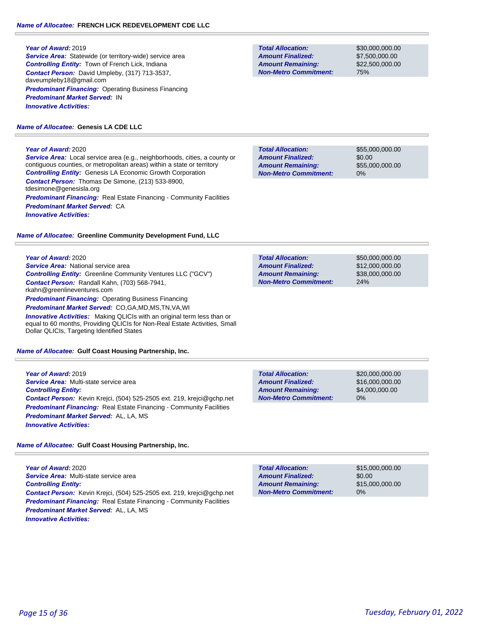**Service Area:** Statewide (or territory-wide) service area *Controlling Entity:* Town of French Lick, Indiana *Contact Person:* David Umpleby, (317) 713-3537, daveumpleby18@gmail.com *Predominant Financing:* Operating Business Financing *Predominant Market Served:* IN *Innovative Activities:* 

# *Name of Allocatee:* **Genesis LA CDE LLC**

# **Year of Award:** 2020

*Service Area:* Local service area (e.g., neighborhoods, cities, a county or contiguous counties, or metropolitan areas) within a state or territory *Controlling Entity:* Genesis LA Economic Growth Corporation *Contact Person:* Thomas De Simone, (213) 533-8900, tdesimone@genesisla.org **Predominant Financing:** Real Estate Financing - Community Facilities *Predominant Market Served:* CA *Innovative Activities:* 

# *Name of Allocatee:* **Greenline Community Development Fund, LLC**

### **Year of Award:** 2020

**Service Area:** National service area *Controlling Entity:* Greenline Community Ventures LLC ("GCV") *Contact Person:* Randall Kahn, (703) 568-7941, rkahn@greenlineventures.com *Predominant Financing:* Operating Business Financing *Predominant Market Served:* CO,GA,MD,MS,TN,VA,WI *Innovative Activities:* Making QLICIs with an original term less than or equal to 60 months, Providing QLICIs for Non-Real Estate Activities, Small

Dollar QLICIs, Targeting Identified States

# *Name of Allocatee:* **Gulf Coast Housing Partnership, Inc.**

**Year of Award:** 2019 *Service Area:* Multi-state service area *Controlling Entity: Contact Person:* Kevin Krejci, (504) 525-2505 ext. 219, krejci@gchp.net **Predominant Financing:** Real Estate Financing - Community Facilities *Predominant Market Served:* AL, LA, MS *Innovative Activities:* 

# *Name of Allocatee:* **Gulf Coast Housing Partnership, Inc.**

**Year of Award:** 2020 *Service Area:* Multi-state service area *Controlling Entity: Contact Person:* Kevin Krejci, (504) 525-2505 ext. 219, krejci@gchp.net *Predominant Financing:* Real Estate Financing - Community Facilities *Predominant Market Served:* AL, LA, MS *Innovative Activities:* 

**Total Allocation: Non-Metro Commitment: Amount Remaining: Amount Finalized:**

\$30,000,000.00 \$7,500,000.00 \$22,500,000.00 75%

\$55,000,000.00 \$0.00 \$55,000,000.00 0% **Total Allocation: Non-Metro Commitment: Amount Remaining: Amount Finalized:**

| <b>Total Allocation:</b>                             | \$50,000,000,00                    |
|------------------------------------------------------|------------------------------------|
| <b>Amount Finalized:</b><br><b>Amount Remaining:</b> | \$12,000,000,00<br>\$38,000,000,00 |
| <b>Non-Metro Commitment:</b>                         | 24%                                |

| <b>Total Allocation:</b>     | \$20,000,000,00 |
|------------------------------|-----------------|
| <b>Amount Finalized:</b>     | \$16,000,000,00 |
| <b>Amount Remaining:</b>     | \$4,000,000,00  |
| <b>Non-Metro Commitment:</b> | $0\%$           |

| <b>Total Allocation:</b>     | \$15,000,000,00 |
|------------------------------|-----------------|
| <b>Amount Finalized:</b>     | \$0.00          |
| <b>Amount Remaining:</b>     | \$15,000,000,00 |
| <b>Non-Metro Commitment:</b> | $0\%$           |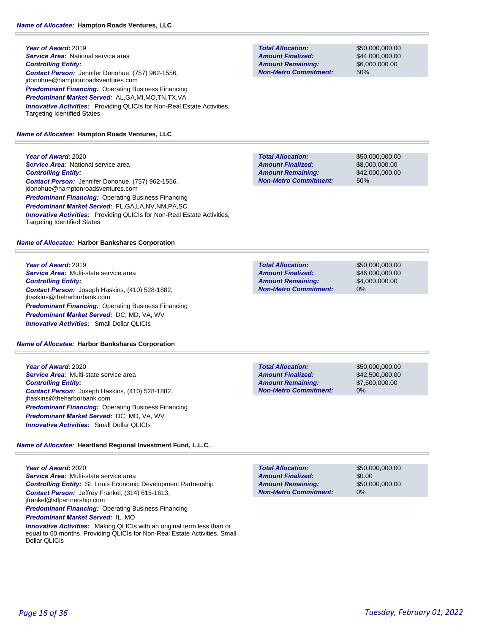**Year of Award:** 2019 **Service Area: National service area** *Controlling Entity: Contact Person:* Jennifer Donohue, (757) 962-1556, jdonohue@hamptonroadsventures.com *Predominant Financing:* Operating Business Financing *Predominant Market Served:* AL,GA,MI,MO,TN,TX,VA *Innovative Activities:* Providing QLICIs for Non-Real Estate Activities, Targeting Identified States

# *Name of Allocatee:* **Hampton Roads Ventures, LLC**

**Year of Award:** 2020 **Service Area: National service area** *Controlling Entity: Contact Person:* Jennifer Donohue, (757) 962-1556, jdonohue@hamptonroadsventures.com *Predominant Financing:* Operating Business Financing *Predominant Market Served:* FL,GA,LA,NV,NM,PA,SC *Innovative Activities:* Providing QLICIs for Non-Real Estate Activities, Targeting Identified States

# *Name of Allocatee:* **Harbor Bankshares Corporation**

**Year of Award:** 2019 *Service Area:* Multi-state service area *Controlling Entity: Contact Person:* Joseph Haskins, (410) 528-1882, jhaskins@theharborbank.com *Predominant Financing: Operating Business Financing Predominant Market Served:* DC, MD, VA, WV *Innovative Activities:* Small Dollar QLICIs

# *Name of Allocatee:* **Harbor Bankshares Corporation**

**Year of Award:** 2020 *Service Area:* Multi-state service area *Controlling Entity: Contact Person:* Joseph Haskins, (410) 528-1882, jhaskins@theharborbank.com *Predominant Financing: Operating Business Financing Predominant Market Served:* DC, MD, VA, WV *Innovative Activities:* Small Dollar QLICIs

# *Name of Allocatee:* **Heartland Regional Investment Fund, L.L.C.**

**Year of Award:** 2020 *Service Area:* Multi-state service area *Controlling Entity:* St. Louis Economic Development Partnership *Contact Person:* Jeffrey Frankel, (314) 615-1613, jfrankel@stlpartnership.com **Predominant Financing: Operating Business Financing** 

*Predominant Market Served:* IL, MO

*Innovative Activities:* Making QLICIs with an original term less than or equal to 60 months, Providing QLICIs for Non-Real Estate Activities, Small Dollar QLICIs

\$50,000,000.00 \$44,000,000.00 \$6,000,000.00 50%

**Total Allocation: Non-Metro Commitment: Amount Remaining: Amount Finalized:**

\$50,000,000.00 \$8,000,000.00 \$42,000,000.00 50%

**Total Allocation: Non-Metro Commitment: Amount Remaining: Amount Finalized:**

\$50,000,000.00 \$46,000,000.00 \$4,000,000.00 0%

**Total Allocation: Non-Metro Commitment: Amount Remaining: Amount Finalized:**

\$50,000,000.00 \$42,500,000.00 \$7,500,000.00 0%

\$50,000,000.00 \$0.00 \$50,000,000.00 0% **Total Allocation: Non-Metro Commitment: Amount Remaining: Amount Finalized:**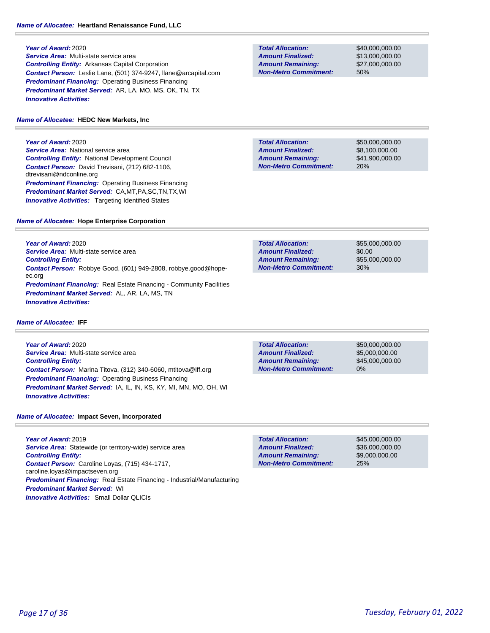*Service Area:* Multi-state service area *Controlling Entity:* Arkansas Capital Corporation *Contact Person:* Leslie Lane, (501) 374-9247, llane@arcapital.com **Predominant Financing: Operating Business Financing** *Predominant Market Served:* AR, LA, MO, MS, OK, TN, TX *Innovative Activities:* 

# *Name of Allocatee:* **HEDC New Markets, Inc**

**Year of Award:** 2020 **Service Area: National service area** *Controlling Entity:* National Development Council *Contact Person:* David Trevisani, (212) 682-1106, dtrevisani@ndconline.org *Predominant Financing:* Operating Business Financing *Predominant Market Served:* CA,MT,PA,SC,TN,TX,WI **Innovative Activities:** Targeting Identified States

### **Total Allocation: Non-Metro Commitment: Amount Remaining: Amount Finalized:**

\$40,000,000.00 \$13,000,000.00 \$27,000,000.00 50%

**Total Allocation: Non-Metro Commitment: Amount Remaining: Amount Finalized:**

\$50,000,000.00 \$8,100,000.00 \$41,900,000.00 20%

### *Name of Allocatee:* **Hope Enterprise Corporation**

**Year of Award:** 2020 *Service Area:* Multi-state service area *Controlling Entity: Contact Person:* Robbye Good, (601) 949-2808, robbye.good@hopeec.org **Predominant Financing:** Real Estate Financing - Community Facilities *Predominant Market Served:* AL, AR, LA, MS, TN *Innovative Activities:* 

| <b>Total Allocation:</b>     | \$55,000,000,00 |
|------------------------------|-----------------|
| <b>Amount Finalized:</b>     | \$0.00          |
| <b>Amount Remaining:</b>     | \$55,000,000,00 |
| <b>Non-Metro Commitment:</b> | 30%             |

*Name of Allocatee:* **IFF**

**Year of Award:** 2020 *Service Area:* Multi-state service area *Controlling Entity: Contact Person:* Marina Titova, (312) 340-6060, mtitova@iff.org *Predominant Financing:* Operating Business Financing *Predominant Market Served:* IA, IL, IN, KS, KY, MI, MN, MO, OH, WI *Innovative Activities:* 

*Name of Allocatee:* **Impact Seven, Incorporated**

**Year of Award:** 2019 **Service Area:** Statewide (or territory-wide) service area *Controlling Entity: Contact Person:* Caroline Loyas, (715) 434-1717, caroline.loyas@impactseven.org *Predominant Financing:* Real Estate Financing - Industrial/Manufacturing *Predominant Market Served:* WI *Innovative Activities:* Small Dollar QLICIs

**Total Allocation: Non-Metro Commitment: Amount Remaining: Amount Finalized:**

\$50,000,000.00 \$5,000,000.00 \$45,000,000.00 0%

**Total Allocation: Non-Metro Commitment: Amount Remaining: Amount Finalized:**

\$45,000,000.00 \$36,000,000.00 \$9,000,000.00 25%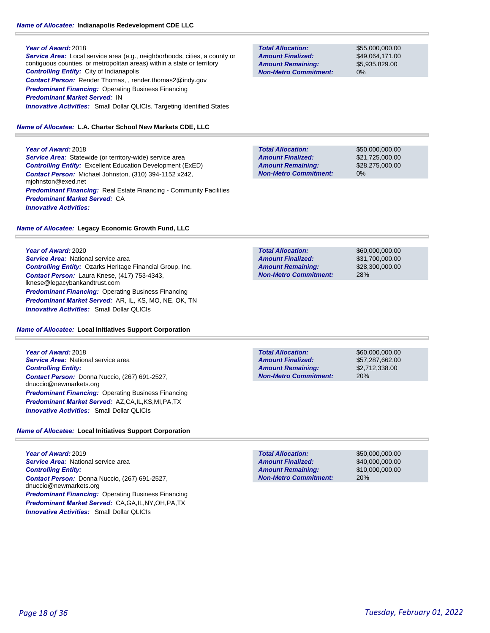# *Name of Allocatee:* **Indianapolis Redevelopment CDE LLC**

### **Year of Award:** 2018

*Service Area:* Local service area (e.g., neighborhoods, cities, a county or contiguous counties, or metropolitan areas) within a state or territory *Controlling Entity:* City of Indianapolis *Contact Person:* Render Thomas, , render.thomas2@indy.gov *Predominant Financing:* Operating Business Financing *Predominant Market Served:* IN **Innovative Activities:** Small Dollar QLICIs, Targeting Identified States

# *Name of Allocatee:* **L.A. Charter School New Markets CDE, LLC**

# **Year of Award:** 2018

**Service Area:** Statewide (or territory-wide) service area *Controlling Entity:* Excellent Education Development (ExED) *Contact Person:* Michael Johnston, (310) 394-1152 x242, mjohnston@exed.net **Predominant Financing:** Real Estate Financing - Community Facilities *Predominant Market Served:* CA *Innovative Activities:* 

# *Name of Allocatee:* **Legacy Economic Growth Fund, LLC**

# **Year of Award:** 2020

**Service Area: National service area** *Controlling Entity:* Ozarks Heritage Financial Group, Inc. *Contact Person:* Laura Knese, (417) 753-4343, lknese@legacybankandtrust.com *Predominant Financing: Operating Business Financing Predominant Market Served:* AR, IL, KS, MO, NE, OK, TN *Innovative Activities:* Small Dollar QLICIs

# *Name of Allocatee:* **Local Initiatives Support Corporation**

**Year of Award:** 2018 **Service Area: National service area** *Controlling Entity: Contact Person:* Donna Nuccio, (267) 691-2527, dnuccio@newmarkets.org *Predominant Financing:* Operating Business Financing *Predominant Market Served:* AZ,CA,IL,KS,MI,PA,TX *Innovative Activities:* Small Dollar QLICIs

# *Name of Allocatee:* **Local Initiatives Support Corporation**

**Year of Award:** 2019 **Service Area: National service area** *Controlling Entity: Contact Person:* Donna Nuccio, (267) 691-2527, dnuccio@newmarkets.org *Predominant Financing:* Operating Business Financing *Predominant Market Served:* CA,GA,IL,NY,OH,PA,TX *Innovative Activities:* Small Dollar QLICIs

**Total Allocation: Non-Metro Commitment: Amount Remaining: Amount Finalized:**

\$55,000,000.00 \$49,064,171.00 \$5,935,829.00 0%

\$50,000,000.00 \$21,725,000.00 \$28,275,000.00 0% **Total Allocation: Non-Metro Commitment: Amount Remaining: Amount Finalized:**

**Total Allocation: Non-Metro Commitment: Amount Remaining: Amount Finalized:**

\$60,000,000.00 \$31,700,000.00 \$28,300,000.00 28%

**Total Allocation: Non-Metro Commitment: Amount Remaining: Amount Finalized:**

\$60,000,000.00 \$57,287,662.00 \$2,712,338.00 20%

\$50,000,000.00 \$40,000,000.00 \$10,000,000.00 20% **Total Allocation: Non-Metro Commitment: Amount Remaining: Amount Finalized:**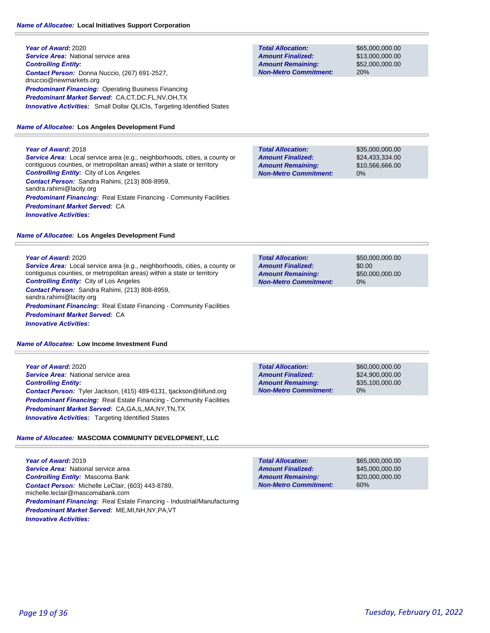# *Name of Allocatee:* **Local Initiatives Support Corporation**

**Year of Award:** 2020 **Service Area:** National service area *Controlling Entity: Contact Person:* Donna Nuccio, (267) 691-2527, dnuccio@newmarkets.org **Predominant Financing: Operating Business Financing** *Predominant Market Served:* CA,CT,DC,FL,NV,OH,TX **Innovative Activities:** Small Dollar QLICIs, Targeting Identified States

#### *Name of Allocatee:* **Los Angeles Development Fund**

**Year of Award:** 2018

*Service Area:* Local service area (e.g., neighborhoods, cities, a county or contiguous counties, or metropolitan areas) within a state or territory *Controlling Entity:* City of Los Angeles *Contact Person:* Sandra Rahimi, (213) 808-8959, sandra.rahimi@lacity.org **Predominant Financing:** Real Estate Financing - Community Facilities *Predominant Market Served:* CA *Innovative Activities:* 

#### *Name of Allocatee:* **Los Angeles Development Fund**

#### **Year of Award:** 2020

*Service Area:* Local service area (e.g., neighborhoods, cities, a county or contiguous counties, or metropolitan areas) within a state or territory *Controlling Entity:* City of Los Angeles *Contact Person:* Sandra Rahimi, (213) 808-8959, sandra.rahimi@lacity.org **Predominant Financing:** Real Estate Financing - Community Facilities *Predominant Market Served:* CA *Innovative Activities:* 

#### *Name of Allocatee:* **Low Income Investment Fund**

**Year of Award:** 2020 **Service Area: National service area** *Controlling Entity: Contact Person:* Tyler Jackson, (415) 489-6131, tjackson@liifund.org *Predominant Financing:* Real Estate Financing - Community Facilities *Predominant Market Served:* CA,GA,IL,MA,NY,TN,TX *Innovative Activities:* Targeting Identified States

### *Name of Allocatee:* **MASCOMA COMMUNITY DEVELOPMENT, LLC**

**Year of Award:** 2019 **Service Area: National service area** *Controlling Entity:* Mascoma Bank *Contact Person:* Michelle LeClair, (603) 443-8789, michelle.leclair@mascomabank.com *Predominant Financing:* Real Estate Financing - Industrial/Manufacturing *Predominant Market Served:* ME,MI,NH,NY,PA,VT *Innovative Activities:* 

**Total Allocation: Non-Metro Commitment: Amount Remaining: Amount Finalized:**

\$65,000,000.00 \$13,000,000.00 \$52,000,000.00 20%

\$35,000,000.00 \$24,433,334.00 \$10,566,666.00 0% **Total Allocation: Non-Metro Commitment: Amount Remaining: Amount Finalized:**

\$50,000,000.00 \$0.00 \$50,000,000.00 0% **Total Allocation: Non-Metro Commitment: Amount Remaining: Amount Finalized:**

**Total Allocation: Non-Metro Commitment: Amount Remaining: Amount Finalized:**

\$60,000,000.00 \$24,900,000.00 \$35,100,000.00 0%

**Total Allocation: Non-Metro Commitment: Amount Remaining: Amount Finalized:**

\$65,000,000.00 \$45,000,000.00 \$20,000,000.00 60%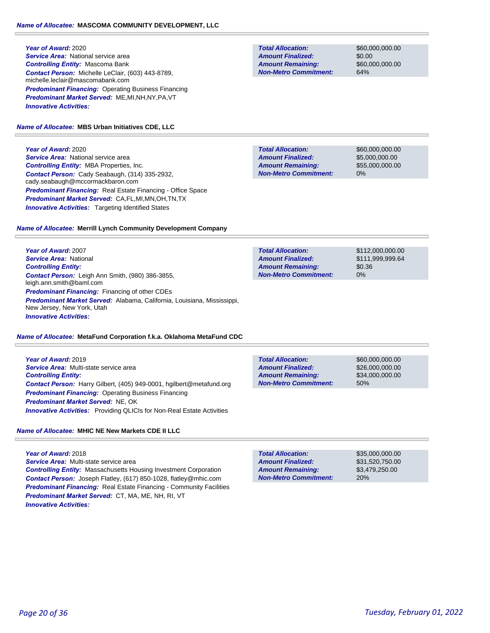### **Year of Award:** 2020 *Service Area:* National service area *Controlling Entity:* Mascoma Bank *Contact Person:* Michelle LeClair, (603) 443-8789, michelle.leclair@mascomabank.com *Predominant Financing:* Operating Business Financing *Predominant Market Served:* ME,MI,NH,NY,PA,VT *Innovative Activities:*

# *Name of Allocatee:* **MBS Urban Initiatives CDE, LLC**

**Year of Award:** 2020

*Service Area:* National service area *Controlling Entity:* MBA Properties, Inc. *Contact Person:* Cady Seabaugh, (314) 335-2932, cady.seabaugh@mccormackbaron.com *Predominant Financing:* Real Estate Financing - Office Space *Predominant Market Served:* CA,FL,MI,MN,OH,TN,TX **Innovative Activities:** Targeting Identified States

# *Name of Allocatee:* **Merrill Lynch Community Development Company**

**Year of Award:** 2007 *Service Area:* National *Controlling Entity: Contact Person:* Leigh Ann Smith, (980) 386-3855, leigh.ann.smith@baml.com *Predominant Financing:* Financing of other CDEs *Predominant Market Served:* Alabama, California, Louisiana, Mississippi, New Jersey, New York, Utah *Innovative Activities:* 

# *Name of Allocatee:* **MetaFund Corporation f.k.a. Oklahoma MetaFund CDC**

**Year of Award:** 2019 *Service Area:* Multi-state service area *Controlling Entity: Contact Person:* Harry Gilbert, (405) 949-0001, hgilbert@metafund.org *Predominant Financing: Operating Business Financing Predominant Market Served:* NE, OK **Innovative Activities:** Providing QLICIs for Non-Real Estate Activities

# *Name of Allocatee:* **MHIC NE New Markets CDE II LLC**

**Year of Award:** 2018 *Service Area:* Multi-state service area *Controlling Entity:* Massachusetts Housing Investment Corporation *Contact Person:* Joseph Flatley, (617) 850-1028, flatley@mhic.com **Predominant Financing:** Real Estate Financing - Community Facilities *Predominant Market Served:* CT, MA, ME, NH, RI, VT *Innovative Activities:* 

**Total Allocation: Non-Metro Commitment: Amount Remaining: Amount Finalized:**

\$60,000,000.00 \$0.00 \$60,000,000.00 64%

\$60,000,000.00 \$5,000,000.00 \$55,000,000.00 0% **Total Allocation: Non-Metro Commitment: Amount Remaining: Amount Finalized:**

**Total Allocation: Non-Metro Commitment: Amount Remaining: Amount Finalized:**

\$112,000,000.00 \$111,999,999.64 \$0.36 0%

**Total Allocation: Non-Metro Commitment: Amount Remaining: Amount Finalized:**

\$60,000,000.00 \$26,000,000.00 \$34,000,000.00 50%

\$35,000,000.00 \$31,520,750.00 \$3,479,250.00 20% **Total Allocation: Non-Metro Commitment: Amount Remaining: Amount Finalized:**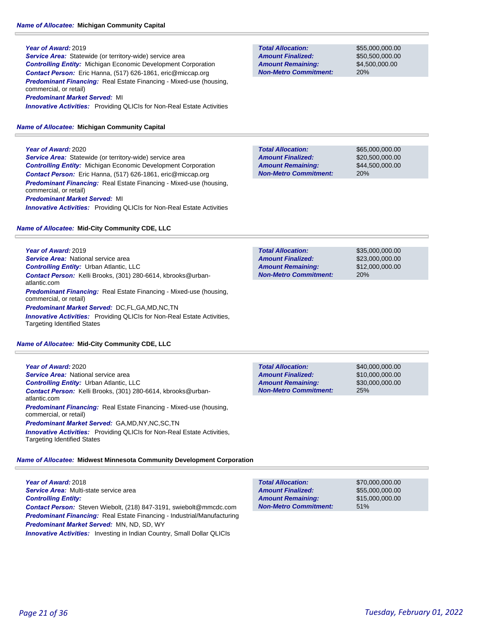#### *Name of Allocatee:* **Michigan Community Capital**

#### **Year of Award:** 2019

**Service Area:** Statewide (or territory-wide) service area *Controlling Entity:* Michigan Economic Development Corporation *Contact Person:* Eric Hanna, (517) 626-1861, eric@miccap.org **Predominant Financing:** Real Estate Financing - Mixed-use (housing, commercial, or retail) *Predominant Market Served:* MI

*Innovative Activities:* Providing QLICIs for Non-Real Estate Activities

#### *Name of Allocatee:* **Michigan Community Capital**

**Year of Award:** 2020 **Service Area:** Statewide (or territory-wide) service area *Controlling Entity:* Michigan Economic Development Corporation *Contact Person:* Eric Hanna, (517) 626-1861, eric@miccap.org *Predominant Financing:* Real Estate Financing - Mixed-use (housing, commercial, or retail)

#### *Predominant Market Served:* MI

*Innovative Activities:* Providing QLICIs for Non-Real Estate Activities

#### *Name of Allocatee:* **Mid-City Community CDE, LLC**

**Year of Award:** 2019 **Service Area: National service area** *Controlling Entity:* Urban Atlantic, LLC *Contact Person:* Kelli Brooks, (301) 280-6614, kbrooks@urbanatlantic.com *Predominant Financing:* Real Estate Financing - Mixed-use (housing, commercial, or retail) *Predominant Market Served:* DC,FL,GA,MD,NC,TN *Innovative Activities:* Providing QLICIs for Non-Real Estate Activities, Targeting Identified States

#### *Name of Allocatee:* **Mid-City Community CDE, LLC**

**Year of Award:** 2020 *Service Area:* National service area *Controlling Entity:* Urban Atlantic, LLC *Contact Person:* Kelli Brooks, (301) 280-6614, kbrooks@urbanatlantic.com *Predominant Financing:* Real Estate Financing - Mixed-use (housing, commercial, or retail) *Predominant Market Served:* GA,MD,NY,NC,SC,TN **Innovative Activities:** Providing QLICIs for Non-Real Estate Activities,

#### *Name of Allocatee:* **Midwest Minnesota Community Development Corporation**

**Year of Award:** 2018 *Service Area:* Multi-state service area *Controlling Entity: Contact Person:* Steven Wiebolt, (218) 847-3191, swiebolt@mmcdc.com *Predominant Financing:* Real Estate Financing - Industrial/Manufacturing *Predominant Market Served:* MN, ND, SD, WY **Innovative Activities:** Investing in Indian Country, Small Dollar QLICIs

**Total Allocation: Non-Metro Commitment: Amount Remaining: Amount Finalized:**

\$55,000,000.00 \$50,500,000.00 \$4,500,000.00 20%

\$65,000,000.00 \$20,500,000.00 \$44,500,000.00 20% **Total Allocation: Non-Metro Commitment: Amount Remaining: Amount Finalized:**

\$35,000,000.00 \$23,000,000.00 \$12,000,000.00 20% **Total Allocation: Non-Metro Commitment: Amount Remaining: Amount Finalized:**

**Total Allocation: Non-Metro Commitment: Amount Remaining: Amount Finalized:**

\$40,000,000.00 \$10,000,000.00 \$30,000,000.00 25%

**Total Allocation:**

**Non-Metro Commitment: Amount Remaining: Amount Finalized:**

\$70,000,000.00 \$55,000,000.00 \$15,000,000.00 51%

Targeting Identified States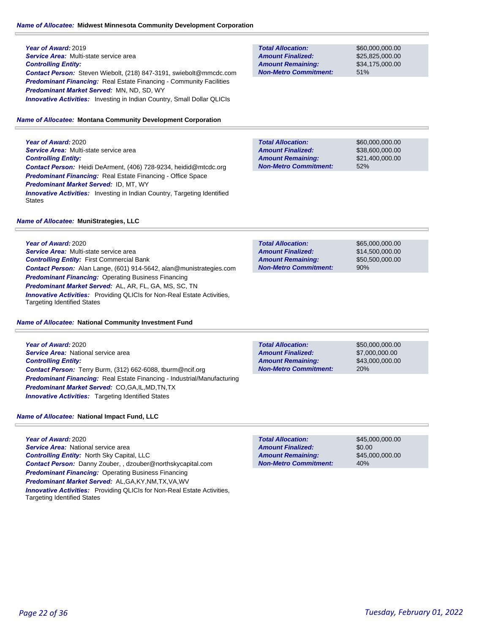# *Name of Allocatee:* **Midwest Minnesota Community Development Corporation**

**Year of Award:** 2019 *Service Area:* Multi-state service area *Controlling Entity: Contact Person:* Steven Wiebolt, (218) 847-3191, swiebolt@mmcdc.com **Predominant Financing:** Real Estate Financing - Community Facilities *Predominant Market Served:* MN, ND, SD, WY **Innovative Activities:** Investing in Indian Country, Small Dollar QLICIs

# *Name of Allocatee:* **Montana Community Development Corporation**

**Year of Award:** 2020 *Service Area:* Multi-state service area *Controlling Entity: Contact Person:* Heidi DeArment, (406) 728-9234, heidid@mtcdc.org *Predominant Financing:* Real Estate Financing - Office Space *Predominant Market Served:* ID, MT, WY **Innovative Activities:** Investing in Indian Country, Targeting Identified **States** 

# 51% **Non-Metro Commitment: Amount Remaining: Amount Finalized:**

**Total Allocation:**

\$60,000,000.00 \$25,825,000.00 \$34,175,000.00

**Total Allocation: Non-Metro Commitment: Amount Remaining: Amount Finalized:**

**Total Allocation:**

**Non-Metro Commitment: Amount Remaining: Amount Finalized:**

\$60,000,000.00 \$38,600,000.00 \$21,400,000.00 52%

\$65,000,000.00 \$14,500,000.00 \$50,500,000.00

90%

### *Name of Allocatee:* **MuniStrategies, LLC**

**Year of Award:** 2020 *Service Area:* Multi-state service area *Controlling Entity:* First Commercial Bank *Contact Person:* Alan Lange, (601) 914-5642, alan@munistrategies.com *Predominant Financing:* Operating Business Financing *Predominant Market Served:* AL, AR, FL, GA, MS, SC, TN *Innovative Activities:* Providing QLICIs for Non-Real Estate Activities, Targeting Identified States

### *Name of Allocatee:* **National Community Investment Fund**

**Year of Award:** 2020 *Service Area:* National service area *Controlling Entity: Contact Person:* Terry Burm, (312) 662-6088, tburm@ncif.org *Predominant Financing:* Real Estate Financing - Industrial/Manufacturing *Predominant Market Served:* CO,GA,IL,MD,TN,TX *Innovative Activities:* Targeting Identified States

**Total Allocation: Non-Metro Commitment: Amount Remaining: Amount Finalized:**

\$50,000,000.00 \$7,000,000.00 \$43,000,000.00 20%

\$45,000,000.00

\$45,000,000.00

\$0.00

40%

### *Name of Allocatee:* **National Impact Fund, LLC**

**Year of Award:** 2020 *Service Area:* National service area *Controlling Entity:* North Sky Capital, LLC *Contact Person:* Danny Zouber, , dzouber@northskycapital.com *Predominant Financing: Operating Business Financing Predominant Market Served:* AL,GA,KY,NM,TX,VA,WV *Innovative Activities:* Providing QLICIs for Non-Real Estate Activities, Targeting Identified States

**Non-Metro Commitment: Amount Remaining:**

**Total Allocation:**

**Amount Finalized:**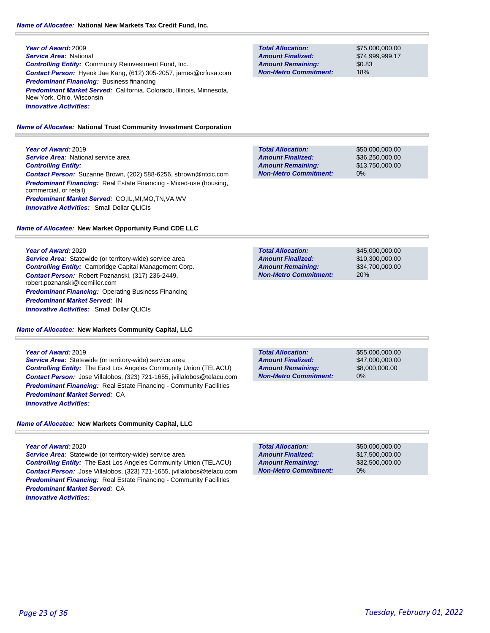**Year of Award:** 2009 *Service Area:* National *Controlling Entity:* Community Reinvestment Fund, Inc. *Contact Person:* Hyeok Jae Kang, (612) 305-2057, james@crfusa.com *Predominant Financing:* Business financing *Predominant Market Served:* California, Colorado, Illinois, Minnesota, New York, Ohio, Wisconsin *Innovative Activities:* 

#### *Name of Allocatee:* **National Trust Community Investment Corporation**

**Year of Award:** 2019 **Service Area:** National service area *Controlling Entity: Contact Person:* Suzanne Brown, (202) 588-6256, sbrown@ntcic.com *Predominant Financing:* Real Estate Financing - Mixed-use (housing, commercial, or retail) *Predominant Market Served:* CO,IL,MI,MO,TN,VA,WV *Innovative Activities:* Small Dollar QLICIs

#### *Name of Allocatee:* **New Market Opportunity Fund CDE LLC**

#### **Year of Award:** 2020

*Service Area:* Statewide (or territory-wide) service area *Controlling Entity:* Cambridge Capital Management Corp. *Contact Person:* Robert Poznanski, (317) 236-2449, robert.poznanski@icemiller.com *Predominant Financing: Operating Business Financing Predominant Market Served:* IN *Innovative Activities:* Small Dollar QLICIs

*Name of Allocatee:* **New Markets Community Capital, LLC**

#### **Year of Award:** 2019

*Service Area:* Statewide (or territory-wide) service area *Controlling Entity:* The East Los Angeles Community Union (TELACU) *Contact Person:* Jose Villalobos, (323) 721-1655, jvillalobos@telacu.com **Predominant Financing:** Real Estate Financing - Community Facilities *Predominant Market Served:* CA *Innovative Activities:* 

*Name of Allocatee:* **New Markets Community Capital, LLC**

#### **Year of Award:** 2020

Service Area: Statewide (or territory-wide) service area *Controlling Entity:* The East Los Angeles Community Union (TELACU) *Contact Person:* Jose Villalobos, (323) 721-1655, jvillalobos@telacu.com **Predominant Financing:** Real Estate Financing - Community Facilities *Predominant Market Served:* CA *Innovative Activities:* 

**Total Allocation: Non-Metro Commitment: Amount Remaining: Amount Finalized:**

\$75,000,000.00 \$74,999,999.17 \$0.83 18%

\$50,000,000.00 \$36,250,000.00 \$13,750,000.00 0% **Total Allocation: Non-Metro Commitment: Amount Remaining: Amount Finalized:**

**Total Allocation: Non-Metro Commitment: Amount Remaining: Amount Finalized:**

\$45,000,000.00 \$10,300,000.00 \$34,700,000.00 20%

**Total Allocation: Non-Metro Commitment: Amount Remaining: Amount Finalized:**

\$55,000,000.00 \$47,000,000.00 \$8,000,000.00 0%

0% **Total Allocation: Non-Metro Commitment: Amount Remaining: Amount Finalized:**

\$50,000,000.00 \$17,500,000.00 \$32,500,000.00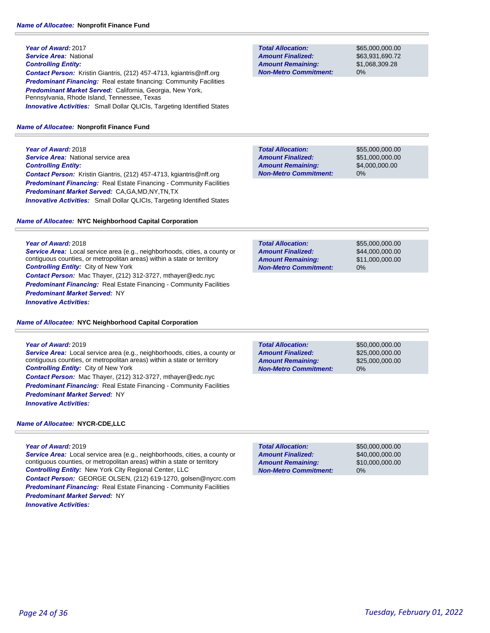# **Year of Award:** 2017 *Service Area:* National *Controlling Entity: Contact Person:* Kristin Giantris, (212) 457-4713, kgiantris@nff.org **Predominant Financing:** Real estate financing: Community Facilities *Predominant Market Served:* California, Georgia, New York, Pennsylvania, Rhode Island, Tennessee, Texas **Innovative Activities:** Small Dollar QLICIs, Targeting Identified States

#### *Name of Allocatee:* **Nonprofit Finance Fund**

**Year of Award:** 2018 **Service Area:** National service area *Controlling Entity: Contact Person:* Kristin Giantris, (212) 457-4713, kgiantris@nff.org **Predominant Financing:** Real Estate Financing - Community Facilities *Predominant Market Served:* CA,GA,MD,NY,TN,TX *Innovative Activities:* Small Dollar QLICIs, Targeting Identified States

#### *Name of Allocatee:* **NYC Neighborhood Capital Corporation**

**Year of Award:** 2018 *Service Area:* Local service area (e.g., neighborhoods, cities, a county or contiguous counties, or metropolitan areas) within a state or territory *Controlling Entity:* City of New York *Contact Person:* Mac Thayer, (212) 312-3727, mthayer@edc.nyc **Predominant Financing:** Real Estate Financing - Community Facilities *Predominant Market Served:* NY *Innovative Activities:* 

#### *Name of Allocatee:* **NYC Neighborhood Capital Corporation**

**Year of Award:** 2019

*Service Area:* Local service area (e.g., neighborhoods, cities, a county or contiguous counties, or metropolitan areas) within a state or territory *Controlling Entity:* City of New York *Contact Person:* Mac Thayer, (212) 312-3727, mthayer@edc.nyc **Predominant Financing:** Real Estate Financing - Community Facilities *Predominant Market Served:* NY *Innovative Activities:* 

### *Name of Allocatee:* **NYCR-CDE,LLC**

#### **Year of Award:** 2019

*Service Area:* Local service area (e.g., neighborhoods, cities, a county or contiguous counties, or metropolitan areas) within a state or territory *Controlling Entity:* New York City Regional Center, LLC *Contact Person:* GEORGE OLSEN, (212) 619-1270, golsen@nycrc.com **Predominant Financing:** Real Estate Financing - Community Facilities *Predominant Market Served:* NY *Innovative Activities:* 

**Total Allocation: Non-Metro Commitment: Amount Remaining: Amount Finalized:**

\$65,000,000.00 \$63,931,690.72 \$1,068,309.28 0%

**Total Allocation: Non-Metro Commitment: Amount Remaining: Amount Finalized:**

\$55,000,000.00 \$51,000,000.00 \$4,000,000.00 0%

\$55,000,000.00 \$44,000,000.00 \$11,000,000.00 0% **Total Allocation: Non-Metro Commitment: Amount Remaining: Amount Finalized:**

**Total Allocation: Non-Metro Commitment: Amount Remaining: Amount Finalized:**

\$50,000,000.00 \$25,000,000.00 \$25,000,000.00 0%

\$50,000,000.00 \$40,000,000.00 \$10,000,000.00 0% **Total Allocation: Non-Metro Commitment: Amount Remaining: Amount Finalized:**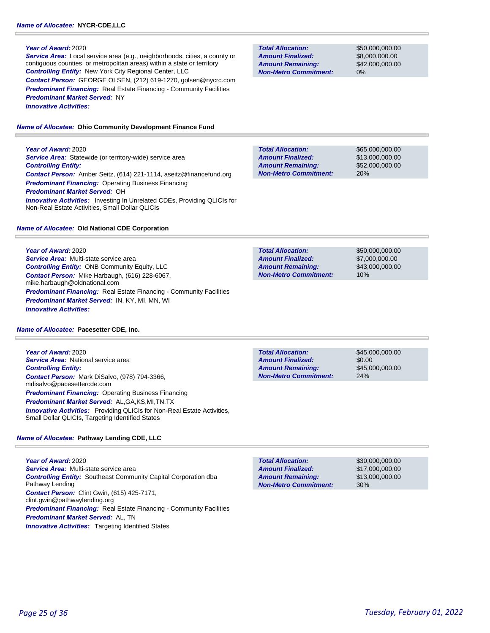*Service Area:* Local service area (e.g., neighborhoods, cities, a county or contiguous counties, or metropolitan areas) within a state or territory *Controlling Entity:* New York City Regional Center, LLC *Contact Person:* GEORGE OLSEN, (212) 619-1270, golsen@nycrc.com **Predominant Financing:** Real Estate Financing - Community Facilities *Predominant Market Served:* NY *Innovative Activities:* 

*Name of Allocatee:* **Ohio Community Development Finance Fund**

**Year of Award:** 2020

**Service Area:** Statewide (or territory-wide) service area *Controlling Entity: Contact Person:* Amber Seitz, (614) 221-1114, aseitz@financefund.org *Predominant Financing:* Operating Business Financing *Predominant Market Served:* OH **Innovative Activities:** Investing In Unrelated CDEs, Providing QLICIs for Non-Real Estate Activities, Small Dollar QLICIs

*Name of Allocatee:* **Old National CDE Corporation**

# **Year of Award:** 2020

*Service Area:* Multi-state service area *Controlling Entity:* ONB Community Equity, LLC *Contact Person:* Mike Harbaugh, (616) 228-6067, mike.harbaugh@oldnational.com **Predominant Financing:** Real Estate Financing - Community Facilities *Predominant Market Served:* IN, KY, MI, MN, WI *Innovative Activities:* 

# *Name of Allocatee:* **Pacesetter CDE, Inc.**

**Year of Award:** 2020 **Service Area: National service area** *Controlling Entity: Contact Person:* Mark DiSalvo, (978) 794-3366, mdisalvo@pacesettercde.com *Predominant Financing:* Operating Business Financing *Predominant Market Served:* AL,GA,KS,MI,TN,TX **Innovative Activities:** Providing QLICIs for Non-Real Estate Activities, Small Dollar QLICIs, Targeting Identified States

# *Name of Allocatee:* **Pathway Lending CDE, LLC**

**Year of Award:** 2020 *Service Area:* Multi-state service area *Controlling Entity:* Southeast Community Capital Corporation dba Pathway Lending *Contact Person:* Clint Gwin, (615) 425-7171, clint.gwin@pathwaylending.org **Predominant Financing:** Real Estate Financing - Community Facilities *Predominant Market Served:* AL, TN **Innovative Activities:** Targeting Identified States

**Total Allocation: Non-Metro Commitment: Amount Remaining: Amount Finalized:**

\$50,000,000.00 \$8,000,000.00 \$42,000,000.00 0%

\$65,000,000.00 \$13,000,000.00 \$52,000,000.00 20% **Total Allocation: Non-Metro Commitment: Amount Remaining: Amount Finalized:**

**Total Allocation: Non-Metro Commitment: Amount Remaining: Amount Finalized:**

\$50,000,000.00 \$7,000,000.00 \$43,000,000.00 10%

**Total Allocation: Non-Metro Commitment: Amount Remaining: Amount Finalized:**

\$45,000,000.00 \$0.00 \$45,000,000.00 24%

**Total Allocation: Non-Metro Commitment: Amount Remaining: Amount Finalized:**

\$30,000,000.00 \$17,000,000.00 \$13,000,000.00 30%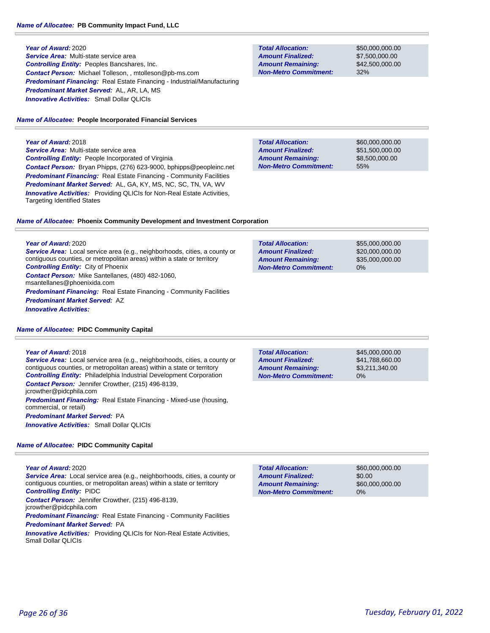**Year of Award:** 2020 *Service Area:* Multi-state service area *Controlling Entity:* Peoples Bancshares, Inc. *Contact Person:* Michael Tolleson, , mtolleson@pb-ms.com *Predominant Financing:* Real Estate Financing - Industrial/Manufacturing *Predominant Market Served:* AL, AR, LA, MS *Innovative Activities:* Small Dollar QLICIs

### *Name of Allocatee:* **People Incorporated Financial Services**

**Year of Award:** 2018 *Service Area:* Multi-state service area *Controlling Entity:* People Incorporated of Virginia *Contact Person:* Bryan Phipps, (276) 623-9000, bphipps@peopleinc.net *Predominant Financing:* Real Estate Financing - Community Facilities *Predominant Market Served:* AL, GA, KY, MS, NC, SC, TN, VA, WV **Innovative Activities:** Providing QLICIs for Non-Real Estate Activities, Targeting Identified States

**Total Allocation: Non-Metro Commitment: Amount Remaining: Amount Finalized:**

**Total Allocation:**

**Non-Metro Commitment: Amount Remaining: Amount Finalized:**

**Total Allocation:**

**Non-Metro Commitment: Amount Remaining: Amount Finalized:**

> \$60,000,000.00 \$51,500,000.00 \$8,500,000.00 55%

\$55,000,000.00 \$20,000,000.00 \$35,000,000.00

0%

\$50,000,000.00 \$7,500,000.00 \$42,500,000.00

32%

# *Name of Allocatee:* **Phoenix Community Development and Investment Corporation**

**Year of Award:** 2020 *Service Area:* Local service area (e.g., neighborhoods, cities, a county or contiguous counties, or metropolitan areas) within a state or territory *Controlling Entity:* City of Phoenix *Contact Person:* Mike Santellanes, (480) 482-1060, msantellanes@phoenixida.com **Predominant Financing:** Real Estate Financing - Community Facilities *Predominant Market Served:* AZ *Innovative Activities:* 

| <b>Name of Allocatee: PIDC Community Capital</b> |  |  |
|--------------------------------------------------|--|--|
|--------------------------------------------------|--|--|

#### **Year of Award:** 2018

*Service Area:* Local service area (e.g., neighborhoods, cities, a county or contiguous counties, or metropolitan areas) within a state or territory *Controlling Entity:* Philadelphia Industrial Development Corporation *Contact Person:* Jennifer Crowther, (215) 496-8139, jcrowther@pidcphila.com *Predominant Financing:* Real Estate Financing - Mixed-use (housing, commercial, or retail) *Predominant Market Served:* PA *Innovative Activities:* Small Dollar QLICIs

#### *Name of Allocatee:* **PIDC Community Capital**

#### **Year of Award:** 2020

*Service Area:* Local service area (e.g., neighborhoods, cities, a county or contiguous counties, or metropolitan areas) within a state or territory *Controlling Entity:* PIDC

*Contact Person:* Jennifer Crowther, (215) 496-8139,

jcrowther@pidcphila.com

**Predominant Financing:** Real Estate Financing - Community Facilities *Predominant Market Served:* PA

**Innovative Activities:** Providing QLICIs for Non-Real Estate Activities, Small Dollar QLICIs

| <b>Total Allocation:</b>     | \$45  |
|------------------------------|-------|
| <b>Amount Finalized:</b>     | \$41  |
| <b>Amount Remaining:</b>     | \$3.  |
| <b>Non-Metro Commitment:</b> | $0\%$ |

\$45,000,000.00 \$41,788,660.00 \$3,211,340.00

\$60,000,000.00 \$0.00 \$60,000,000.00 0% **Total Allocation: Non-Metro Commitment: Amount Remaining: Amount Finalized:**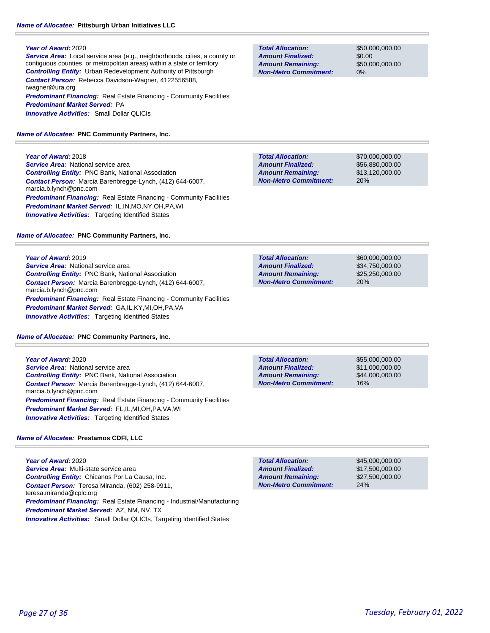*Service Area:* Local service area (e.g., neighborhoods, cities, a county or contiguous counties, or metropolitan areas) within a state or territory *Controlling Entity:* Urban Redevelopment Authority of Pittsburgh *Contact Person:* Rebecca Davidson-Wagner, 4122556588, rwagner@ura.org **Predominant Financing:** Real Estate Financing - Community Facilities *Predominant Market Served:* PA *Innovative Activities:* Small Dollar QLICIs

*Name of Allocatee:* **PNC Community Partners, Inc.**

# **Year of Award:** 2018

**Service Area:** National service area *Controlling Entity:* PNC Bank, National Association *Contact Person:* Marcia Barenbregge-Lynch, (412) 644-6007, marcia.b.lynch@pnc.com *Predominant Financing:* Real Estate Financing - Community Facilities *Predominant Market Served:* IL,IN,MO,NY,OH,PA,WI **Innovative Activities:** Targeting Identified States

#### *Name of Allocatee:* **PNC Community Partners, Inc.**

#### **Year of Award:** 2019

**Service Area:** National service area *Controlling Entity:* PNC Bank, National Association *Contact Person:* Marcia Barenbregge-Lynch, (412) 644-6007, marcia.b.lynch@pnc.com *Predominant Financing:* Real Estate Financing - Community Facilities *Predominant Market Served:* GA,IL,KY,MI,OH,PA,VA *Innovative Activities:* Targeting Identified States

#### *Name of Allocatee:* **PNC Community Partners, Inc.**

*Innovative Activities:* Targeting Identified States

**Year of Award:** 2020 **Service Area:** National service area *Controlling Entity:* PNC Bank, National Association *Contact Person:* Marcia Barenbregge-Lynch, (412) 644-6007, marcia.b.lynch@pnc.com *Predominant Financing:* Real Estate Financing - Community Facilities *Predominant Market Served:* FL,IL,MI,OH,PA,VA,WI

# *Name of Allocatee:* **Prestamos CDFI, LLC**

**Year of Award:** 2020 *Service Area:* Multi-state service area *Controlling Entity:* Chicanos Por La Causa, Inc. *Contact Person:* Teresa Miranda, (602) 258-9911, teresa.miranda@cplc.org *Predominant Financing:* Real Estate Financing - Industrial/Manufacturing *Predominant Market Served:* AZ, NM, NV, TX *Innovative Activities:* Small Dollar QLICIs, Targeting Identified States

**Total Allocation: Non-Metro Commitment: Amount Remaining: Amount Finalized:**

\$50,000,000.00 \$0.00 \$50,000,000.00 0%

20% **Total Allocation: Non-Metro Commitment: Amount Remaining: Amount Finalized:**

\$70,000,000.00 \$56,880,000.00 \$13,120,000.00

\$60,000,000.00 \$34,750,000.00 \$25,250,000.00 20% **Total Allocation: Non-Metro Commitment: Amount Remaining: Amount Finalized:**

\$55,000,000.00 \$11,000,000.00 \$44,000,000.00 16% **Total Allocation: Non-Metro Commitment: Amount Remaining: Amount Finalized:**

\$45,000,000.00 \$17,500,000.00 \$27,500,000.00 24% **Total Allocation: Non-Metro Commitment: Amount Remaining: Amount Finalized:**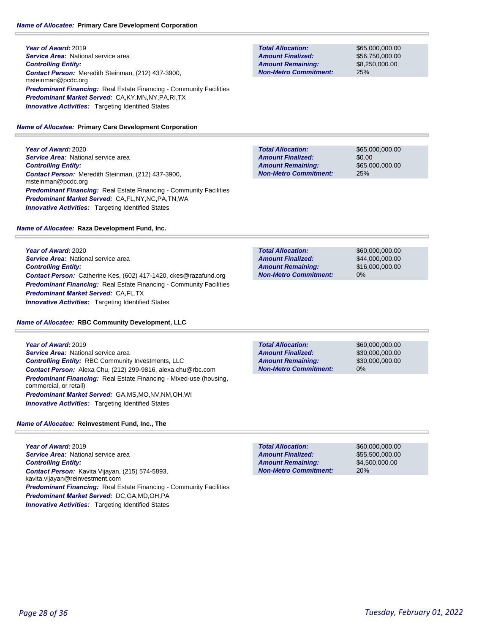**Year of Award:** 2019 **Service Area:** National service area *Controlling Entity: Contact Person:* Meredith Steinman, (212) 437-3900, msteinman@pcdc.org **Predominant Financing:** Real Estate Financing - Community Facilities *Predominant Market Served:* CA,KY,MN,NY,PA,RI,TX **Innovative Activities:** Targeting Identified States

# *Name of Allocatee:* **Primary Care Development Corporation**

**Year of Award:** 2020 **Service Area:** National service area *Controlling Entity: Contact Person:* Meredith Steinman, (212) 437-3900, msteinman@pcdc.org *Predominant Financing:* Real Estate Financing - Community Facilities *Predominant Market Served:* CA,FL,NY,NC,PA,TN,WA **Innovative Activities:** Targeting Identified States

# *Name of Allocatee:* **Raza Development Fund, Inc.**

**Year of Award:** 2020 **Service Area: National service area** *Controlling Entity: Contact Person:* Catherine Kes, (602) 417-1420, ckes@razafund.org **Predominant Financing:** Real Estate Financing - Community Facilities *Predominant Market Served:* CA,FL,TX **Innovative Activities:** Targeting Identified States

*Name of Allocatee:* **RBC Community Development, LLC**

### **Year of Award:** 2019 **Service Area: National service area** *Controlling Entity:* RBC Community Investments, LLC *Contact Person:* Alexa Chu, (212) 299-9816, alexa.chu@rbc.com *Predominant Financing:* Real Estate Financing - Mixed-use (housing, commercial, or retail) *Predominant Market Served:* GA,MS,MO,NV,NM,OH,WI **Innovative Activities:** Targeting Identified States

# *Name of Allocatee:* **Reinvestment Fund, Inc., The**

**Year of Award:** 2019 *Service Area:* National service area *Controlling Entity: Contact Person:* Kavita Vijayan, (215) 574-5893, kavita.vijayan@reinvestment.com **Predominant Financing:** Real Estate Financing - Community Facilities *Predominant Market Served:* DC,GA,MD,OH,PA **Innovative Activities:** Targeting Identified States

**Total Allocation: Non-Metro Commitment: Amount Remaining: Amount Finalized:**

\$65,000,000.00 \$56,750,000.00 \$8,250,000.00 25%

\$65,000,000.00 \$0.00 \$65,000,000.00 25% **Total Allocation: Non-Metro Commitment: Amount Remaining: Amount Finalized:**

**Total Allocation: Non-Metro Commitment: Amount Remaining: Amount Finalized:**

\$60,000,000.00 \$44,000,000.00 \$16,000,000.00 0%

**Total Allocation: Non-Metro Commitment: Amount Remaining: Amount Finalized:**

\$60,000,000.00 \$30,000,000.00 \$30,000,000.00 0%

\$60,000,000.00 \$55,500,000.00 \$4,500,000.00 20% **Total Allocation: Non-Metro Commitment: Amount Remaining: Amount Finalized:**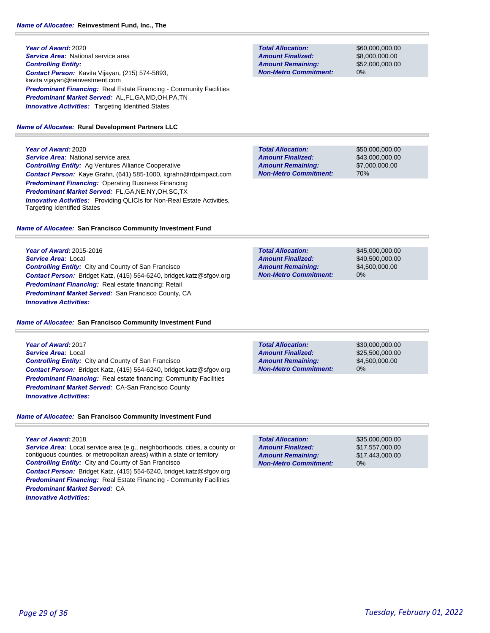# **Year of Award:** 2020 **Service Area:** National service area *Controlling Entity: Contact Person:* Kavita Vijayan, (215) 574-5893, kavita.vijayan@reinvestment.com **Predominant Financing:** Real Estate Financing - Community Facilities *Predominant Market Served:* AL,FL,GA,MD,OH,PA,TN **Innovative Activities:** Targeting Identified States

### *Name of Allocatee:* **Rural Development Partners LLC**

**Year of Award:** 2020 *Service Area:* National service area *Controlling Entity:* Ag Ventures Alliance Cooperative *Contact Person:* Kaye Grahn, (641) 585-1000, kgrahn@rdpimpact.com *Predominant Financing:* Operating Business Financing *Predominant Market Served:* FL,GA,NE,NY,OH,SC,TX **Innovative Activities:** Providing QLICIs for Non-Real Estate Activities, Targeting Identified States

# *Name of Allocatee:* **San Francisco Community Investment Fund**

**Year of Award:** 2015-2016 *Service Area:* Local *Controlling Entity:* City and County of San Francisco *Contact Person:* Bridget Katz, (415) 554-6240, bridget.katz@sfgov.org *Predominant Financing:* Real estate financing: Retail *Predominant Market Served:* San Francisco County, CA *Innovative Activities:* 

# *Name of Allocatee:* **San Francisco Community Investment Fund**

**Year of Award:** 2017 *Service Area:* Local *Controlling Entity:* City and County of San Francisco *Contact Person:* Bridget Katz, (415) 554-6240, bridget.katz@sfgov.org *Predominant Financing:* Real estate financing: Community Facilities *Predominant Market Served:* CA-San Francisco County *Innovative Activities:* 

# *Name of Allocatee:* **San Francisco Community Investment Fund**

# **Year of Award:** 2018

*Service Area:* Local service area (e.g., neighborhoods, cities, a county or contiguous counties, or metropolitan areas) within a state or territory *Controlling Entity:* City and County of San Francisco *Contact Person:* Bridget Katz, (415) 554-6240, bridget.katz@sfgov.org *Predominant Financing:* Real Estate Financing - Community Facilities *Predominant Market Served:* CA *Innovative Activities:* 

**Total Allocation: Non-Metro Commitment: Amount Remaining: Amount Finalized:**

\$60,000,000.00 \$8,000,000.00 \$52,000,000.00 0%

\$50,000,000.00 \$43,000,000.00 \$7,000,000.00 70% **Total Allocation: Non-Metro Commitment: Amount Remaining: Amount Finalized:**

**Total Allocation: Non-Metro Commitment: Amount Remaining: Amount Finalized:**

\$45,000,000.00 \$40,500,000.00 \$4,500,000.00 0%

**Total Allocation: Non-Metro Commitment: Amount Remaining: Amount Finalized:**

\$30,000,000.00 \$25,500,000.00 \$4,500,000.00 0%

0% **Total Allocation: Non-Metro Commitment: Amount Remaining: Amount Finalized:**

\$35,000,000.00 \$17,557,000.00 \$17,443,000.00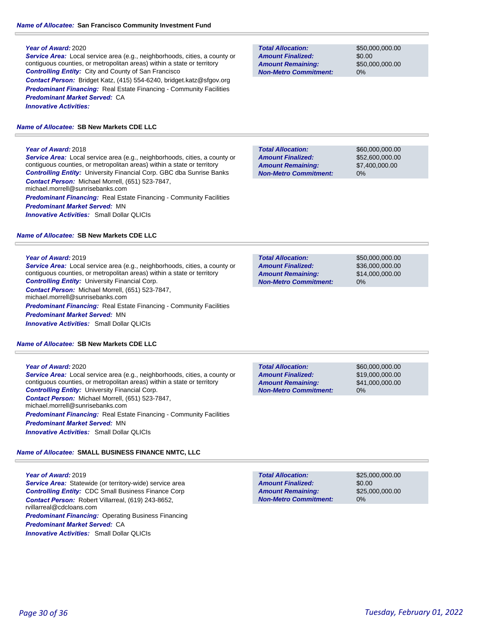*Service Area:* Local service area (e.g., neighborhoods, cities, a county or contiguous counties, or metropolitan areas) within a state or territory *Controlling Entity:* City and County of San Francisco *Contact Person:* Bridget Katz, (415) 554-6240, bridget.katz@sfgov.org **Predominant Financing:** Real Estate Financing - Community Facilities *Predominant Market Served:* CA *Innovative Activities:* 

# *Name of Allocatee:* **SB New Markets CDE LLC**

# **Year of Award:** 2018

*Service Area:* Local service area (e.g., neighborhoods, cities, a county or contiguous counties, or metropolitan areas) within a state or territory *Controlling Entity:* University Financial Corp. GBC dba Sunrise Banks *Contact Person:* Michael Morrell, (651) 523-7847, michael.morrell@sunrisebanks.com **Predominant Financing:** Real Estate Financing - Community Facilities *Predominant Market Served:* MN *Innovative Activities:* Small Dollar QLICIs

### *Name of Allocatee:* **SB New Markets CDE LLC**

### **Year of Award:** 2019

*Service Area:* Local service area (e.g., neighborhoods, cities, a county or contiguous counties, or metropolitan areas) within a state or territory *Controlling Entity:* University Financial Corp. *Contact Person:* Michael Morrell, (651) 523-7847, michael.morrell@sunrisebanks.com **Predominant Financing:** Real Estate Financing - Community Facilities *Predominant Market Served:* MN *Innovative Activities:* Small Dollar QLICIs

# *Name of Allocatee:* **SB New Markets CDE LLC**

### **Year of Award:** 2020

*Service Area:* Local service area (e.g., neighborhoods, cities, a county or contiguous counties, or metropolitan areas) within a state or territory *Controlling Entity:* University Financial Corp. *Contact Person:* Michael Morrell, (651) 523-7847, michael.morrell@sunrisebanks.com *Predominant Financing:* Real Estate Financing - Community Facilities *Predominant Market Served:* MN *Innovative Activities:* Small Dollar QLICIs

# *Name of Allocatee:* **SMALL BUSINESS FINANCE NMTC, LLC**

### **Year of Award:** 2019 **Service Area:** Statewide (or territory-wide) service area *Controlling Entity:* CDC Small Business Finance Corp *Contact Person:* Robert Villarreal, (619) 243-8652, rvillarreal@cdcloans.com *Predominant Financing: Operating Business Financing Predominant Market Served:* CA *Innovative Activities:* Small Dollar QLICIs

**Total Allocation: Non-Metro Commitment: Amount Remaining: Amount Finalized:**

\$50,000,000.00 \$0.00 \$50,000,000.00 0%

**Total Allocation: Non-Metro Commitment: Amount Remaining: Amount Finalized:**

\$60,000,000.00 \$52,600,000.00 \$7,400,000.00 0%

\$50,000,000.00 \$36,000,000.00 \$14,000,000.00 0% **Total Allocation: Non-Metro Commitment: Amount Remaining: Amount Finalized:**

**Total Allocation: Non-Metro Commitment: Amount Remaining: Amount Finalized:**

\$60,000,000.00 \$19,000,000.00 \$41,000,000.00 0%

**Total Allocation: Non-Metro Commitment: Amount Remaining: Amount Finalized:**

\$25,000,000.00 \$0.00 \$25,000,000.00 0%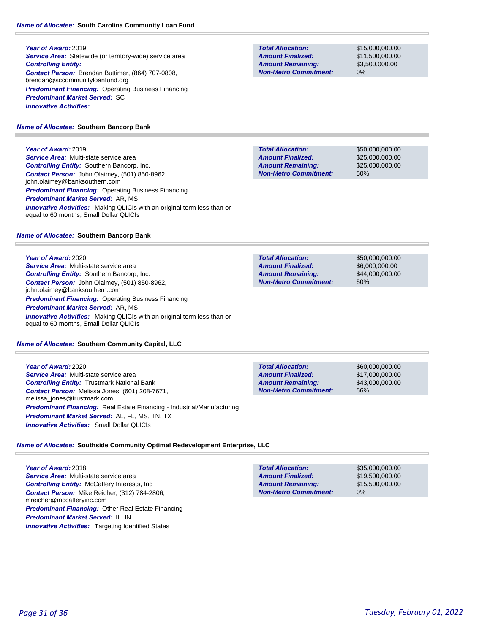**Year of Award:** 2019 **Service Area:** Statewide (or territory-wide) service area *Controlling Entity: Contact Person:* Brendan Buttimer, (864) 707-0808, brendan@sccommunityloanfund.org *Predominant Financing:* Operating Business Financing *Predominant Market Served:* SC *Innovative Activities:* 

# *Name of Allocatee:* **Southern Bancorp Bank**

**Year of Award:** 2019

*Service Area:* Multi-state service area *Controlling Entity:* Southern Bancorp, Inc. *Contact Person:* John Olaimey, (501) 850-8962, john.olaimey@banksouthern.com *Predominant Financing: Operating Business Financing Predominant Market Served:* AR, MS **Innovative Activities:** Making QLICIs with an original term less than or equal to 60 months, Small Dollar QLICIs

# *Name of Allocatee:* **Southern Bancorp Bank**

**Year of Award:** 2020 *Service Area:* Multi-state service area *Controlling Entity:* Southern Bancorp, Inc. *Contact Person:* John Olaimey, (501) 850-8962, john.olaimey@banksouthern.com *Predominant Financing:* Operating Business Financing *Predominant Market Served:* AR, MS *Innovative Activities:* Making QLICIs with an original term less than or equal to 60 months, Small Dollar QLICIs

# *Name of Allocatee:* **Southern Community Capital, LLC**

**Year of Award:** 2020 *Service Area:* Multi-state service area *Controlling Entity:* Trustmark National Bank *Contact Person:* Melissa Jones, (601) 208-7671, melissa\_jones@trustmark.com *Predominant Financing:* Real Estate Financing - Industrial/Manufacturing *Predominant Market Served:* AL, FL, MS, TN, TX *Innovative Activities:* Small Dollar QLICIs

**Total Allocation: Non-Metro Commitment: Amount Remaining: Amount Finalized:**

\$60,000,000.00 \$17,000,000.00 \$43,000,000.00 56%

*Name of Allocatee:* **Southside Community Optimal Redevelopment Enterprise, LLC**

**Year of Award:** 2018 *Service Area:* Multi-state service area *Controlling Entity:* McCaffery Interests, Inc *Contact Person:* Mike Reicher, (312) 784-2806, mreicher@mccafferyinc.com *Predominant Financing:* Other Real Estate Financing *Predominant Market Served:* IL, IN **Innovative Activities:** Targeting Identified States

#### \$35,000,000.00 \$19,500,000.00 \$15,500,000.00 0% **Total Allocation: Non-Metro Commitment: Amount Remaining: Amount Finalized:**

**Total Allocation: Non-Metro Commitment: Amount Remaining: Amount Finalized:**

\$15,000,000.00 \$11,500,000.00 \$3,500,000.00 0%

\$50,000,000.00 \$25,000,000.00 \$25,000,000.00 50% **Non-Metro Commitment: Amount Remaining:**

**Total Allocation: Non-Metro Commitment: Amount Remaining: Amount Finalized:**

\$50,000,000.00 \$6,000,000.00 \$44,000,000.00 50%

**Total Allocation: Amount Finalized:**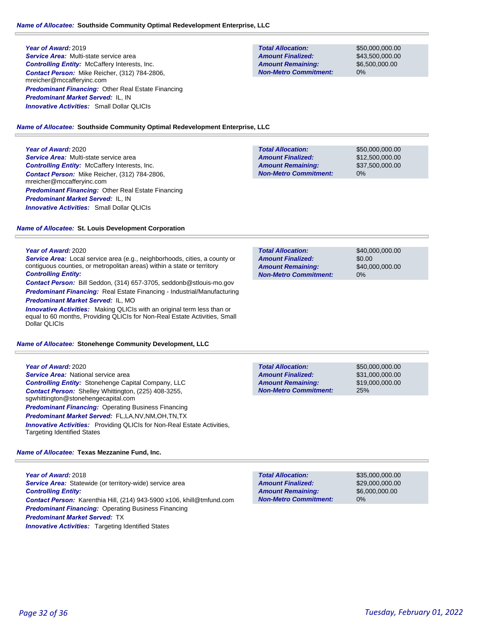*Service Area:* Multi-state service area *Controlling Entity:* McCaffery Interests, Inc. *Contact Person:* Mike Reicher, (312) 784-2806, mreicher@mccafferyinc.com *Predominant Financing:* Other Real Estate Financing *Predominant Market Served:* IL, IN *Innovative Activities:* Small Dollar QLICIs

#### **Total Allocation: Non-Metro Commitment: Amount Remaining: Amount Finalized:**

\$50,000,000.00 \$43,500,000.00 \$6,500,000.00 0%

#### *Name of Allocatee:* **Southside Community Optimal Redevelopment Enterprise, LLC**

#### **Year of Award:** 2020

*Service Area:* Multi-state service area *Controlling Entity:* McCaffery Interests, Inc. *Contact Person:* Mike Reicher, (312) 784-2806, mreicher@mccafferyinc.com *Predominant Financing:* Other Real Estate Financing *Predominant Market Served:* IL, IN *Innovative Activities:* Small Dollar QLICIs

| <b>Total Allocation:</b>     | \$50,000,000,00 |
|------------------------------|-----------------|
| <b>Amount Finalized:</b>     | \$12,500,000,00 |
| <b>Amount Remaining:</b>     | \$37,500,000,00 |
| <b>Non-Metro Commitment:</b> | 0%              |
|                              |                 |

### *Name of Allocatee:* **St. Louis Development Corporation**

#### **Year of Award:** 2020

*Service Area:* Local service area (e.g., neighborhoods, cities, a county or contiguous counties, or metropolitan areas) within a state or territory *Controlling Entity:* 

*Contact Person:* Bill Seddon, (314) 657-3705, seddonb@stlouis-mo.gov *Predominant Financing:* Real Estate Financing - Industrial/Manufacturing *Predominant Market Served:* IL, MO

*Innovative Activities:* Making QLICIs with an original term less than or equal to 60 months, Providing QLICIs for Non-Real Estate Activities, Small Dollar QLICIs

#### *Name of Allocatee:* **Stonehenge Community Development, LLC**

### **Year of Award:** 2020

*Service Area:* National service area *Controlling Entity:* Stonehenge Capital Company, LLC *Contact Person:* Shelley Whittington, (225) 408-3255, sgwhittington@stonehengecapital.com *Predominant Financing: Operating Business Financing Predominant Market Served:* FL,LA,NV,NM,OH,TN,TX *Innovative Activities:* Providing QLICIs for Non-Real Estate Activities, Targeting Identified States

# *Name of Allocatee:* **Texas Mezzanine Fund, Inc.**

**Year of Award:** 2018 Service Area: Statewide (or territory-wide) service area *Controlling Entity: Contact Person:* Karenthia Hill, (214) 943-5900 x106, khill@tmfund.com *Predominant Financing: Operating Business Financing Predominant Market Served:* TX **Innovative Activities:** Targeting Identified States

| <b>Total Allocation:</b>     | \$40,000,000,00 |
|------------------------------|-----------------|
| <b>Amount Finalized:</b>     | \$0.00          |
| <b>Amount Remaining:</b>     | \$40,000,000,00 |
| <b>Non-Metro Commitment:</b> | $0\%$           |

**Total Allocation: Non-Metro Commitment: Amount Remaining: Amount Finalized:**

\$50,000,000.00 \$31,000,000.00 \$19,000,000.00 25%

**Total Allocation: Non-Metro Commitment: Amount Remaining: Amount Finalized:**

\$35,000,000.00 \$29,000,000.00 \$6,000,000.00 0%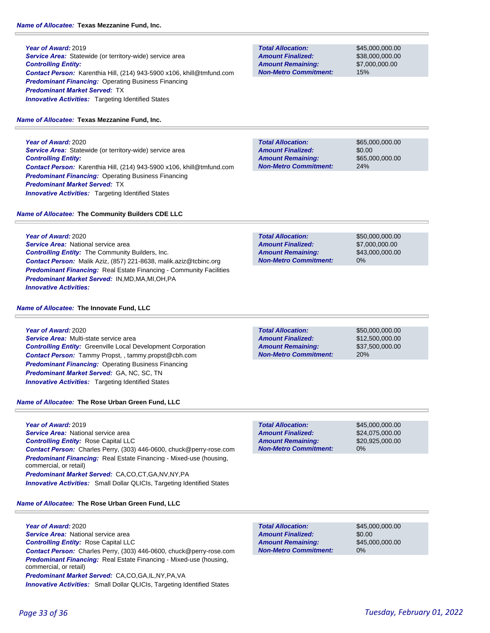**Year of Award:** 2019 **Service Area:** Statewide (or territory-wide) service area *Controlling Entity: Contact Person:* Karenthia Hill, (214) 943-5900 x106, khill@tmfund.com *Predominant Financing:* Operating Business Financing *Predominant Market Served:* TX **Innovative Activities:** Targeting Identified States

# *Name of Allocatee:* **Texas Mezzanine Fund, Inc.**

**Year of Award:** 2020 **Service Area:** Statewide (or territory-wide) service area *Controlling Entity: Contact Person:* Karenthia Hill, (214) 943-5900 x106, khill@tmfund.com *Predominant Financing:* Operating Business Financing *Predominant Market Served:* TX **Innovative Activities:** Targeting Identified States

*Contact Person:* Malik Aziz, (857) 221-8638, malik.aziz@tcbinc.org **Predominant Financing:** Real Estate Financing - Community Facilities

*Name of Allocatee:* **The Community Builders CDE LLC**

*Controlling Entity:* The Community Builders, Inc.

*Predominant Market Served:* IN,MD,MA,MI,OH,PA

# **Year of Award:** 2020

*Innovative Activities:* 

**Year of Award:** 2020

**Service Area:** National service area

*Name of Allocatee:* **The Innovate Fund, LLC**

*Service Area:* Multi-state service area *Controlling Entity:* Greenville Local Development Corporation *Contact Person:* Tammy Propst, , tammy.propst@cbh.com *Predominant Financing:* Operating Business Financing *Predominant Market Served:* GA, NC, SC, TN **Innovative Activities:** Targeting Identified States

# *Name of Allocatee:* **The Rose Urban Green Fund, LLC**

**Year of Award:** 2019 *Service Area:* National service area *Controlling Entity:* Rose Capital LLC *Contact Person:* Charles Perry, (303) 446-0600, chuck@perry-rose.com *Predominant Financing:* Real Estate Financing - Mixed-use (housing, commercial, or retail) *Predominant Market Served:* CA,CO,CT,GA,NV,NY,PA *Innovative Activities:* Small Dollar QLICIs, Targeting Identified States

# *Name of Allocatee:* **The Rose Urban Green Fund, LLC**

**Year of Award:** 2020 *Service Area:* National service area *Controlling Entity:* Rose Capital LLC *Contact Person:* Charles Perry, (303) 446-0600, chuck@perry-rose.com *Predominant Financing:* Real Estate Financing - Mixed-use (housing, commercial, or retail) *Predominant Market Served:* CA,CO,GA,IL,NY,PA,VA *Innovative Activities:* Small Dollar QLICIs, Targeting Identified States

**Non-Metro Commitment: Amount Remaining: Amount Finalized:**

**Total Allocation:**

\$45,000,000.00 \$38,000,000.00 \$7,000,000.00 15%

**Total Allocation: Non-Metro Commitment: Amount Remaining: Amount Finalized:**

\$65,000,000.00 \$0.00 \$65,000,000.00 24%

\$50,000,000.00 \$7,000,000.00 \$43,000,000.00 0% **Total Allocation: Non-Metro Commitment: Amount Remaining: Amount Finalized:**

**Total Allocation: Non-Metro Commitment: Amount Remaining: Amount Finalized:**

\$50,000,000.00 \$12,500,000.00 \$37,500,000.00 20%

\$45,000,000.00 \$24,075,000.00 \$20,925,000.00 0% **Total Allocation: Non-Metro Commitment: Amount Remaining: Amount Finalized:**

**Total Allocation: Non-Metro Commitment: Amount Remaining: Amount Finalized:**

\$45,000,000.00 \$0.00 \$45,000,000.00 0%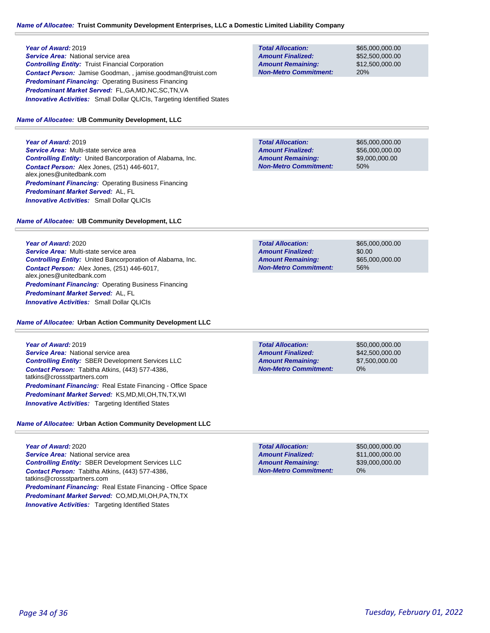#### *Name of Allocatee:* **Truist Community Development Enterprises, LLC a Domestic Limited Liability Company**

#### **Year of Award:** 2019

*Service Area:* National service area *Controlling Entity:* Truist Financial Corporation *Contact Person:* Jamise Goodman, , jamise.goodman@truist.com **Predominant Financing: Operating Business Financing** *Predominant Market Served:* FL,GA,MD,NC,SC,TN,VA *Innovative Activities:* Small Dollar QLICIs, Targeting Identified States

#### *Name of Allocatee:* **UB Community Development, LLC**

**Year of Award:** 2019 *Service Area:* Multi-state service area *Controlling Entity:* United Bancorporation of Alabama, Inc. *Contact Person:* Alex Jones, (251) 446-6017, alex.jones@unitedbank.com *Predominant Financing:* Operating Business Financing *Predominant Market Served:* AL, FL *Innovative Activities:* Small Dollar QLICIs

**Total Allocation: Amount Remaining: Amount Finalized:**

**Non-Metro Commitment:**

**Non-Metro Commitment: Amount Remaining: Amount Finalized:**

**Total Allocation:**

\$65,000,000.00 \$56,000,000.00 \$9,000,000.00 50%

\$65,000,000.00 \$52,500,000.00 \$12,500,000.00

20%

# *Name of Allocatee:* **UB Community Development, LLC**

**Year of Award:** 2020 *Service Area:* Multi-state service area *Controlling Entity:* United Bancorporation of Alabama, Inc. *Contact Person:* Alex Jones, (251) 446-6017, alex.jones@unitedbank.com *Predominant Financing:* Operating Business Financing *Predominant Market Served:* AL, FL *Innovative Activities:* Small Dollar QLICIs

#### *Name of Allocatee:* **Urban Action Community Development LLC**

**Year of Award:** 2019 *Service Area:* National service area *Controlling Entity:* SBER Development Services LLC *Contact Person:* Tabitha Atkins, (443) 577-4386, tatkins@crossstpartners.com *Predominant Financing:* Real Estate Financing - Office Space *Predominant Market Served:* KS,MD,MI,OH,TN,TX,WI **Innovative Activities:** Targeting Identified States

### *Name of Allocatee:* **Urban Action Community Development LLC**

**Year of Award:** 2020 *Service Area:* National service area *Controlling Entity:* SBER Development Services LLC *Contact Person:* Tabitha Atkins, (443) 577-4386, tatkins@crossstpartners.com *Predominant Financing:* Real Estate Financing - Office Space *Predominant Market Served:* CO,MD,MI,OH,PA,TN,TX **Innovative Activities:** Targeting Identified States

| <b>Total Allocation:</b>     | \$65,000,000,00 |
|------------------------------|-----------------|
| <b>Amount Finalized:</b>     | \$0.00          |
| <b>Amount Remaining:</b>     | \$65,000,000,00 |
| <b>Non-Metro Commitment:</b> | 56%             |

**Total Allocation: Non-Metro Commitment: Amount Remaining: Amount Finalized:**

\$50,000,000.00 \$42,500,000.00 \$7,500,000.00 0%

\$50,000,000.00 \$11,000,000.00 \$39,000,000.00 0% **Total Allocation: Non-Metro Commitment: Amount Remaining: Amount Finalized:**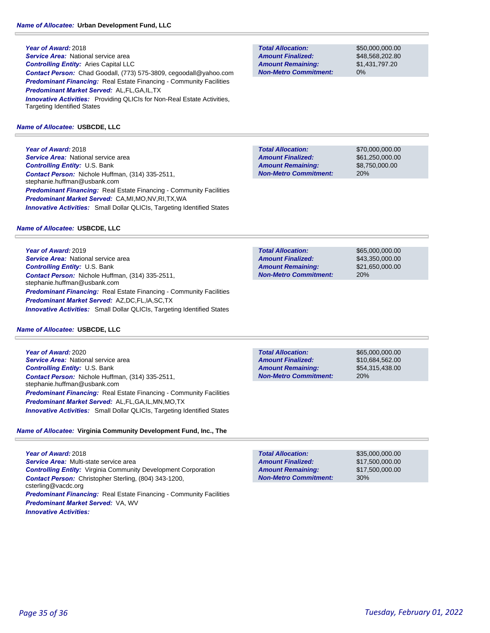**Year of Award:** 2018 *Service Area:* National service area *Controlling Entity:* Aries Capital LLC *Contact Person:* Chad Goodall, (773) 575-3809, cegoodall@yahoo.com *Predominant Financing:* Real Estate Financing - Community Facilities *Predominant Market Served:* AL,FL,GA,IL,TX **Innovative Activities:** Providing QLICIs for Non-Real Estate Activities, Targeting Identified States

### *Name of Allocatee:* **USBCDE, LLC**

**Year of Award:** 2018 *Service Area:* National service area *Controlling Entity:* U.S. Bank *Contact Person:* Nichole Huffman, (314) 335-2511, stephanie.huffman@usbank.com *Predominant Financing:* Real Estate Financing - Community Facilities *Predominant Market Served:* CA,MI,MO,NV,RI,TX,WA **Innovative Activities:** Small Dollar QLICIs, Targeting Identified States

#### *Name of Allocatee:* **USBCDE, LLC**

**Year of Award:** 2019 **Service Area: National service area** *Controlling Entity:* U.S. Bank *Contact Person:* Nichole Huffman, (314) 335-2511, stephanie.huffman@usbank.com *Predominant Financing:* Real Estate Financing - Community Facilities *Predominant Market Served:* AZ,DC,FL,IA,SC,TX **Innovative Activities:** Small Dollar QLICIs, Targeting Identified States

#### *Name of Allocatee:* **USBCDE, LLC**

**Year of Award:** 2020 **Service Area: National service area** *Controlling Entity:* U.S. Bank *Contact Person:* Nichole Huffman, (314) 335-2511, stephanie.huffman@usbank.com *Predominant Financing:* Real Estate Financing - Community Facilities *Predominant Market Served:* AL,FL,GA,IL,MN,MO,TX *Innovative Activities:* Small Dollar QLICIs, Targeting Identified States

# *Name of Allocatee:* **Virginia Community Development Fund, Inc., The**

**Year of Award:** 2018 *Service Area:* Multi-state service area *Controlling Entity:* Virginia Community Development Corporation *Contact Person:* Christopher Sterling, (804) 343-1200, csterling@vacdc.org **Predominant Financing:** Real Estate Financing - Community Facilities *Predominant Market Served:* VA, WV *Innovative Activities:* 

**Total Allocation: Non-Metro Commitment: Amount Remaining: Amount Finalized:**

\$50,000,000.00 \$48,568,202.80 \$1,431,797.20 0%

**Total Allocation: Non-Metro Commitment: Amount Remaining: Amount Finalized:**

\$70,000,000.00 \$61,250,000.00 \$8,750,000.00 20%

**Total Allocation: Non-Metro Commitment: Amount Remaining: Amount Finalized:**

\$65,000,000.00 \$43,350,000.00 \$21,650,000.00 20%

**Total Allocation: Non-Metro Commitment: Amount Remaining: Amount Finalized:**

\$65,000,000.00 \$10,684,562.00 \$54,315,438.00 20%

\$35,000,000.00 \$17,500,000.00 \$17,500,000.00 30% **Total Allocation: Non-Metro Commitment: Amount Remaining: Amount Finalized:**